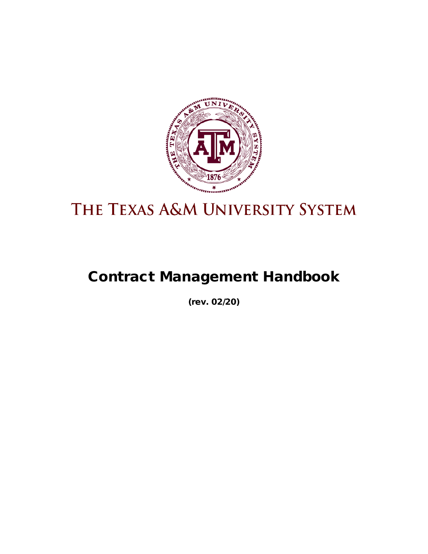

# THE TEXAS A&M UNIVERSITY SYSTEM

# Contract Management Handbook

(rev. 02/20)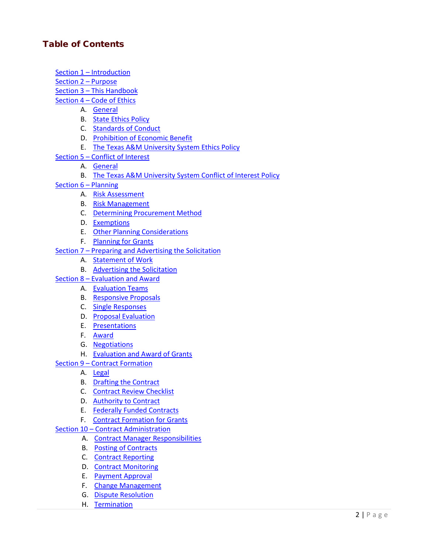# Table of Contents

- Section 1 [Introduction](#page-3-0)
- [Section 2 –](#page-3-1) Purpose
- Section 3 [This Handbook](#page-3-2)
- Section 4 [Code of Ethics](#page-3-3)
	- A. [General](#page-4-0)
	- B. [State Ethics Policy](#page-4-1)
	- C. [Standards of Conduct](#page-4-2)
	- D. [Prohibition of Economic Benefit](#page-5-0)
	- E. [The Texas A&M University System Ethics Policy](#page-5-1)
- Section 5 [Conflict of Interest](#page-5-2)
	- A. [General](#page-5-3)
	- B. [The Texas A&M University System Conflict of Interest Policy](#page-7-0)
- [Section 6 –](#page-7-1) Planning
	- A. [Risk Assessment](#page-7-2)
	- B. [Risk Management](#page-8-0)
	- C. [Determining Procurement Method](#page-8-1)
	- D. [Exemptions](#page-10-0)
	- E. Other Planning Considerations
	- F. Planning for Grants
- Section 7 [Preparing and Advertising](#page-11-0) the Solicitation
	- A. [Statement of Work](#page-11-1)
	- B. [Advertising the Solicitation](#page-14-0)
- Section 8 [Evaluation and Award](#page-16-0)
	- A. [Evaluation Teams](#page-16-1)
	- B. [Responsive Proposals](#page-17-0)
	- C. [Single Responses](#page-17-1)
	- D. [Proposal Evaluation](#page-17-2)
	- E. [Presentations](#page-18-0)
	- F. [Award](#page-18-1)
	- G. [Negotiations](#page-18-2)
	- H. [Evaluation and Award of Grants](#page-19-0)
- Section 9 [Contract Formation](#page-20-0)
	- A. [Legal](#page-20-1)
	- B. [Drafting the Contract](#page-21-0)
	- C. [Contract Review Checklist](#page-23-0)
	- D. [Authority to Contract](#page-24-0)
	- E. [Federally Funded Contracts](#page-24-1)
	- F. [Contract Formation for Grants](#page-24-2)
- Section 10 [Contract Administration](#page-25-0)
	- A. [Contract Manager Responsibilities](#page-26-0)
	- B. [Posting of Contracts](#page-28-0)
	- C. [Contract Reporting](#page-29-0)
	- D. [Contract Monitoring](#page-30-0)
	- E. [Payment Approval](#page-33-0)
	- F. [Change Management](#page-33-1)
	- G. [Dispute Resolution](#page-35-0)
	- H. [Termination](#page-36-0)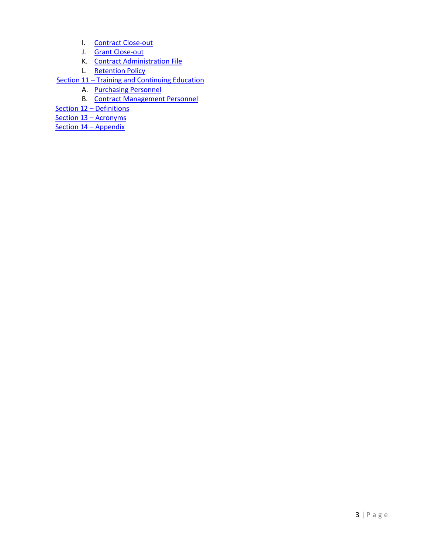- I. [Contract Close-out](#page-38-0)
- J. [Grant Close-out](#page-39-0)
- K. [Contract Administration File](#page-39-1)
- L. [Retention Policy](#page-40-0)
- Section 11 [Training and Continuing Education](#page-40-1)
	- A. [Purchasing Personnel](#page-40-2)
		- B. [Contract Management Personnel](#page-41-0)
- [Section 12 –](#page-41-1) Definitions
- [Section 13 –](#page-46-0) Acronyms
- [Section 14 –](#page-46-1) Appendix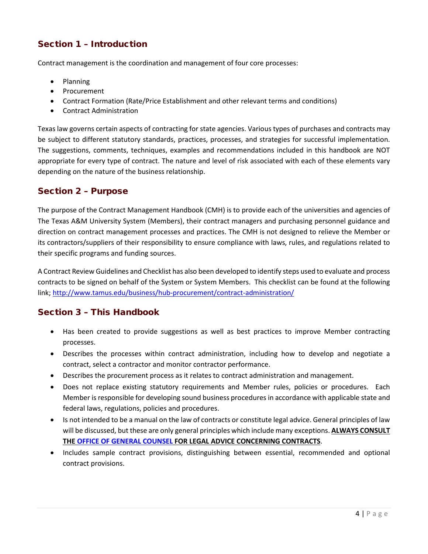# <span id="page-3-0"></span>Section 1 – Introduction

Contract management is the coordination and management of four core processes:

- Planning
- Procurement
- Contract Formation (Rate/Price Establishment and other relevant terms and conditions)
- Contract Administration

Texas law governs certain aspects of contracting for state agencies. Various types of purchases and contracts may be subject to different statutory standards, practices, processes, and strategies for successful implementation. The suggestions, comments, techniques, examples and recommendations included in this handbook are NOT appropriate for every type of contract. The nature and level of risk associated with each of these elements vary depending on the nature of the business relationship.

# <span id="page-3-1"></span>Section 2 – Purpose

The purpose of the Contract Management Handbook (CMH) is to provide each of the universities and agencies of The Texas A&M University System (Members), their contract managers and purchasing personnel guidance and direction on contract management processes and practices. The CMH is not designed to relieve the Member or its contractors/suppliers of their responsibility to ensure compliance with laws, rules, and regulations related to their specific programs and funding sources.

A Contract Review Guidelines and Checklist has also been developed to identify steps used to evaluate and process contracts to be signed on behalf of the System or System Members. This checklist can be found at the following link; <http://www.tamus.edu/business/hub-procurement/contract-administration/>

# <span id="page-3-2"></span>Section 3 – This Handbook

- Has been created to provide suggestions as well as best practices to improve Member contracting processes.
- Describes the processes within contract administration, including how to develop and negotiate a contract, select a contractor and monitor contractor performance.
- Describes the procurement process as it relates to contract administration and management.
- Does not replace existing statutory requirements and Member rules, policies or procedures. Each Member is responsible for developing sound business procedures in accordance with applicable state and federal laws, regulations, policies and procedures.
- Is not intended to be a manual on the law of contracts or constitute legal advice. General principles of law will be discussed, but these are only general principles which include many exceptions. **ALWAYS CONSULT THE [OFFICE OF GENERAL COUNSEL](http://www.tamus.edu/legal/) FOR LEGAL ADVICE CONCERNING CONTRACTS**.
- <span id="page-3-3"></span>• Includes sample contract provisions, distinguishing between essential, recommended and optional contract provisions.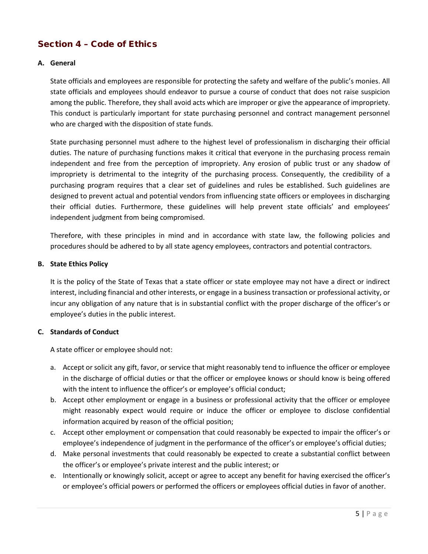# Section 4 – Code of Ethics

# <span id="page-4-0"></span>**A. General**

State officials and employees are responsible for protecting the safety and welfare of the public's monies. All state officials and employees should endeavor to pursue a course of conduct that does not raise suspicion among the public. Therefore, they shall avoid acts which are improper or give the appearance of impropriety. This conduct is particularly important for state purchasing personnel and contract management personnel who are charged with the disposition of state funds.

State purchasing personnel must adhere to the highest level of professionalism in discharging their official duties. The nature of purchasing functions makes it critical that everyone in the purchasing process remain independent and free from the perception of impropriety. Any erosion of public trust or any shadow of impropriety is detrimental to the integrity of the purchasing process. Consequently, the credibility of a purchasing program requires that a clear set of guidelines and rules be established. Such guidelines are designed to prevent actual and potential vendors from influencing state officers or employees in discharging their official duties. Furthermore, these guidelines will help prevent state officials' and employees' independent judgment from being compromised.

Therefore, with these principles in mind and in accordance with state law, the following policies and procedures should be adhered to by all state agency employees, contractors and potential contractors.

## <span id="page-4-1"></span>**B. State Ethics Policy**

It is the policy of the State of Texas that a state officer or state employee may not have a direct or indirect interest, including financial and other interests, or engage in a business transaction or professional activity, or incur any obligation of any nature that is in substantial conflict with the proper discharge of the officer's or employee's duties in the public interest.

## <span id="page-4-2"></span>**C. Standards of Conduct**

A state officer or employee should not:

- a. Accept or solicit any gift, favor, or service that might reasonably tend to influence the officer or employee in the discharge of official duties or that the officer or employee knows or should know is being offered with the intent to influence the officer's or employee's official conduct;
- b. Accept other employment or engage in a business or professional activity that the officer or employee might reasonably expect would require or induce the officer or employee to disclose confidential information acquired by reason of the official position;
- c. Accept other employment or compensation that could reasonably be expected to impair the officer's or employee's independence of judgment in the performance of the officer's or employee's official duties;
- d. Make personal investments that could reasonably be expected to create a substantial conflict between the officer's or employee's private interest and the public interest; or
- e. Intentionally or knowingly solicit, accept or agree to accept any benefit for having exercised the officer's or employee's official powers or performed the officers or employees official duties in favor of another.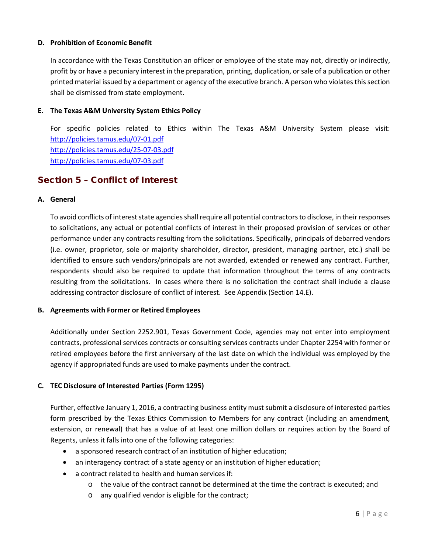# <span id="page-5-0"></span>**D. Prohibition of Economic Benefit**

In accordance with the Texas Constitution an officer or employee of the state may not, directly or indirectly, profit by or have a pecuniary interest in the preparation, printing, duplication, or sale of a publication or other printed material issued by a department or agency of the executive branch. A person who violates this section shall be dismissed from state employment.

## <span id="page-5-1"></span>**E. The Texas A&M University System Ethics Policy**

For specific policies related to Ethics within The Texas A&M University System please visit: <http://policies.tamus.edu/07-01.pdf> <http://policies.tamus.edu/25-07-03.pdf> http://policies.tamus.edu/07-03.pdf

# <span id="page-5-2"></span>Section 5 – Conflict of Interest

#### <span id="page-5-3"></span>**A. General**

To avoid conflicts of interest state agencies shall require all potential contractors to disclose, in their responses to solicitations, any actual or potential conflicts of interest in their proposed provision of services or other performance under any contracts resulting from the solicitations. Specifically, principals of debarred vendors (i.e. owner, proprietor, sole or majority shareholder, director, president, managing partner, etc.) shall be identified to ensure such vendors/principals are not awarded, extended or renewed any contract. Further, respondents should also be required to update that information throughout the terms of any contracts resulting from the solicitations. In cases where there is no solicitation the contract shall include a clause addressing contractor disclosure of conflict of interest. See Appendix (Section 14.E).

## **B. Agreements with Former or Retired Employees**

Additionally under Section 2252.901, Texas Government Code, agencies may not enter into employment contracts, professional services contracts or consulting services contracts under Chapter 2254 with former or retired employees before the first anniversary of the last date on which the individual was employed by the agency if appropriated funds are used to make payments under the contract.

## **C. TEC Disclosure of Interested Parties (Form 1295)**

Further, effective January 1, 2016, a contracting business entity must submit a disclosure of interested parties form prescribed by the Texas Ethics Commission to Members for any contract (including an amendment, extension, or renewal) that has a value of at least one million dollars or requires action by the Board of Regents, unless it falls into one of the following categories:

- a sponsored research contract of an institution of higher education;
- an interagency contract of a state agency or an institution of higher education;
- a contract related to health and human services if:
	- $\circ$  the value of the contract cannot be determined at the time the contract is executed; and
	- o any qualified vendor is eligible for the contract;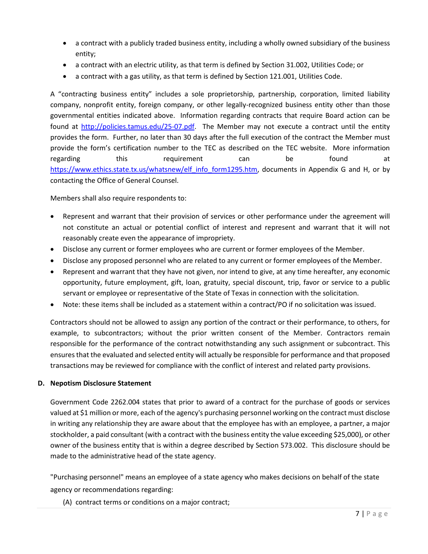- a contract with a publicly traded business entity, including a wholly owned subsidiary of the business entity;
- a contract with an electric utility, as that term is defined by Section 31.002, Utilities Code; or
- a contract with a gas utility, as that term is defined by Section 121.001, Utilities Code.

A "contracting business entity" includes a sole proprietorship, partnership, corporation, limited liability company, nonprofit entity, foreign company, or other legally-recognized business entity other than those governmental entities indicated above. Information regarding contracts that require Board action can be found at [http://policies.tamus.edu/25-07.pdf.](http://policies.tamus.edu/25-07.pdf) The Member may not execute a contract until the entity provides the form. Further, no later than 30 days after the full execution of the contract the Member must provide the form's certification number to the TEC as described on the TEC website. More information regarding this requirement can be found at [https://www.ethics.state.tx.us/whatsnew/elf\\_info\\_form1295.htm,](https://www.ethics.state.tx.us/whatsnew/elf_info_form1295.htm) documents in Appendix G and H, or by contacting the Office of General Counsel.

Members shall also require respondents to:

- Represent and warrant that their provision of services or other performance under the agreement will not constitute an actual or potential conflict of interest and represent and warrant that it will not reasonably create even the appearance of impropriety.
- Disclose any current or former employees who are current or former employees of the Member.
- Disclose any proposed personnel who are related to any current or former employees of the Member.
- Represent and warrant that they have not given, nor intend to give, at any time hereafter, any economic opportunity, future employment, gift, loan, gratuity, special discount, trip, favor or service to a public servant or employee or representative of the State of Texas in connection with the solicitation.
- Note: these items shall be included as a statement within a contract/PO if no solicitation was issued.

Contractors should not be allowed to assign any portion of the contract or their performance, to others, for example, to subcontractors; without the prior written consent of the Member. Contractors remain responsible for the performance of the contract notwithstanding any such assignment or subcontract. This ensures that the evaluated and selected entity will actually be responsible for performance and that proposed transactions may be reviewed for compliance with the conflict of interest and related party provisions.

## **D. Nepotism Disclosure Statement**

Government Code 2262.004 states that prior to award of a contract for the purchase of goods or services valued at \$1 million or more, each of the agency's purchasing personnel working on the contract must disclose in writing any relationship they are aware about that the employee has with an employee, a partner, a major stockholder, a paid consultant (with a contract with the business entity the value exceeding \$25,000), or other owner of the business entity that is within a degree described by Section 573.002. This disclosure should be made to the administrative head of the state agency.

"Purchasing personnel" means an employee of a state agency who makes decisions on behalf of the state agency or recommendations regarding:

(A) contract terms or conditions on a major contract;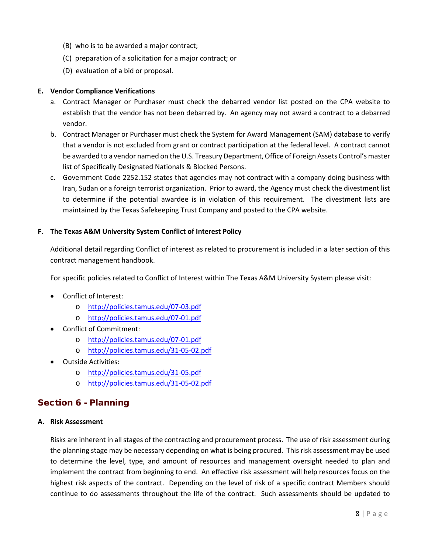- (B) who is to be awarded a major contract;
- (C) preparation of a solicitation for a major contract; or
- (D) evaluation of a bid or proposal.

## <span id="page-7-0"></span>**E. Vendor Compliance Verifications**

- a. Contract Manager or Purchaser must check the debarred vendor list posted on the CPA website to establish that the vendor has not been debarred by. An agency may not award a contract to a debarred vendor.
- b. Contract Manager or Purchaser must check the System for Award Management (SAM) database to verify that a vendor is not excluded from grant or contract participation at the federal level. A contract cannot be awarded to a vendor named on the U.S. Treasury Department, Office of Foreign Assets Control's master list of Specifically Designated Nationals & Blocked Persons.
- c. Government Code 2252.152 states that agencies may not contract with a company doing business with Iran, Sudan or a foreign terrorist organization. Prior to award, the Agency must check the divestment list to determine if the potential awardee is in violation of this requirement. The divestment lists are maintained by the Texas Safekeeping Trust Company and posted to the CPA website.

# **F. The Texas A&M University System Conflict of Interest Policy**

Additional detail regarding Conflict of interest as related to procurement is included in a later section of this contract management handbook.

For specific policies related to Conflict of Interest within The Texas A&M University System please visit:

- Conflict of Interest:
	- o <http://policies.tamus.edu/07-03.pdf>
	- o <http://policies.tamus.edu/07-01.pdf>
- Conflict of Commitment:
	- o <http://policies.tamus.edu/07-01.pdf>
	- o <http://policies.tamus.edu/31-05-02.pdf>
- Outside Activities:
	- o <http://policies.tamus.edu/31-05.pdf>
	- o <http://policies.tamus.edu/31-05-02.pdf>

# <span id="page-7-1"></span>Section 6 - Planning

## <span id="page-7-2"></span>**A. Risk Assessment**

Risks are inherent in all stages of the contracting and procurement process. The use of risk assessment during the planning stage may be necessary depending on what is being procured. This risk assessment may be used to determine the level, type, and amount of resources and management oversight needed to plan and implement the contract from beginning to end. An effective risk assessment will help resources focus on the highest risk aspects of the contract. Depending on the level of risk of a specific contract Members should continue to do assessments throughout the life of the contract. Such assessments should be updated to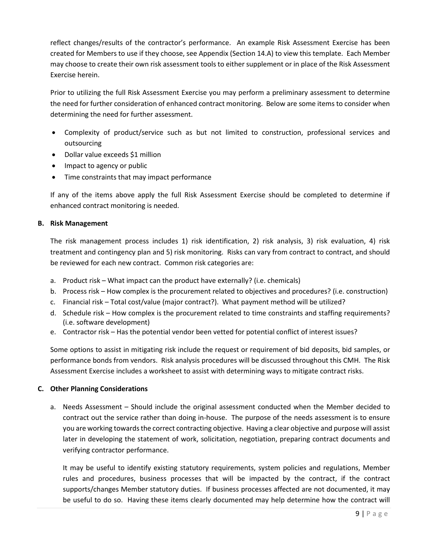reflect changes/results of the contractor's performance. An example Risk Assessment Exercise has been created for Members to use if they choose, see Appendix (Section 14.A) to view this template. Each Member may choose to create their own risk assessment tools to either supplement or in place of the Risk Assessment Exercise herein.

Prior to utilizing the full Risk Assessment Exercise you may perform a preliminary assessment to determine the need for further consideration of enhanced contract monitoring. Below are some items to consider when determining the need for further assessment.

- Complexity of product/service such as but not limited to construction, professional services and outsourcing
- Dollar value exceeds \$1 million
- Impact to agency or public
- Time constraints that may impact performance

If any of the items above apply the full Risk Assessment Exercise should be completed to determine if enhanced contract monitoring is needed.

# <span id="page-8-0"></span>**B. Risk Management**

The risk management process includes 1) risk identification, 2) risk analysis, 3) risk evaluation, 4) risk treatment and contingency plan and 5) risk monitoring. Risks can vary from contract to contract, and should be reviewed for each new contract. Common risk categories are:

- a. Product risk What impact can the product have externally? (i.e. chemicals)
- b. Process risk How complex is the procurement related to objectives and procedures? (i.e. construction)
- c. Financial risk Total cost/value (major contract?). What payment method will be utilized?
- d. Schedule risk How complex is the procurement related to time constraints and staffing requirements? (i.e. software development)
- e. Contractor risk Has the potential vendor been vetted for potential conflict of interest issues?

Some options to assist in mitigating risk include the request or requirement of bid deposits, bid samples, or performance bonds from vendors. Risk analysis procedures will be discussed throughout this CMH. The Risk Assessment Exercise includes a worksheet to assist with determining ways to mitigate contract risks.

## <span id="page-8-1"></span>**C. Other Planning Considerations**

a. Needs Assessment – Should include the original assessment conducted when the Member decided to contract out the service rather than doing in-house. The purpose of the needs assessment is to ensure you are working towards the correct contracting objective. Having a clear objective and purpose will assist later in developing the statement of work, solicitation, negotiation, preparing contract documents and verifying contractor performance.

It may be useful to identify existing statutory requirements, system policies and regulations, Member rules and procedures, business processes that will be impacted by the contract, if the contract supports/changes Member statutory duties. If business processes affected are not documented, it may be useful to do so. Having these items clearly documented may help determine how the contract will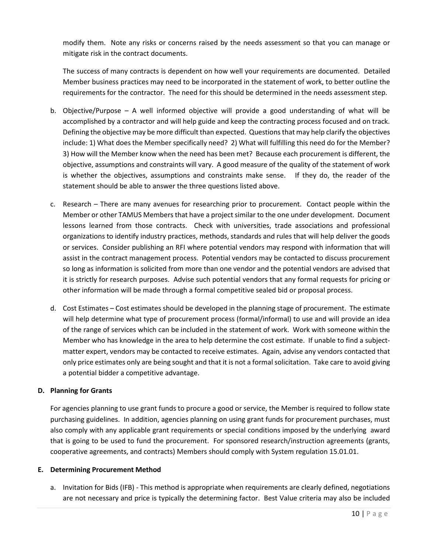modify them. Note any risks or concerns raised by the needs assessment so that you can manage or mitigate risk in the contract documents.

The success of many contracts is dependent on how well your requirements are documented. Detailed Member business practices may need to be incorporated in the statement of work, to better outline the requirements for the contractor. The need for this should be determined in the needs assessment step.

- b. Objective/Purpose A well informed objective will provide a good understanding of what will be accomplished by a contractor and will help guide and keep the contracting process focused and on track. Defining the objective may be more difficult than expected. Questions that may help clarify the objectives include: 1) What does the Member specifically need? 2) What will fulfilling this need do for the Member? 3) How will the Member know when the need has been met? Because each procurement is different, the objective, assumptions and constraints will vary. A good measure of the quality of the statement of work is whether the objectives, assumptions and constraints make sense. If they do, the reader of the statement should be able to answer the three questions listed above.
- c. Research There are many avenues for researching prior to procurement. Contact people within the Member or other TAMUS Members that have a project similar to the one under development. Document lessons learned from those contracts. Check with universities, trade associations and professional organizations to identify industry practices, methods, standards and rules that will help deliver the goods or services. Consider publishing an RFI where potential vendors may respond with information that will assist in the contract management process. Potential vendors may be contacted to discuss procurement so long as information is solicited from more than one vendor and the potential vendors are advised that it is strictly for research purposes. Advise such potential vendors that any formal requests for pricing or other information will be made through a formal competitive sealed bid or proposal process.
- d. Cost Estimates Cost estimates should be developed in the planning stage of procurement. The estimate will help determine what type of procurement process (formal/informal) to use and will provide an idea of the range of services which can be included in the statement of work. Work with someone within the Member who has knowledge in the area to help determine the cost estimate. If unable to find a subjectmatter expert, vendors may be contacted to receive estimates. Again, advise any vendors contacted that only price estimates only are being sought and that it is not a formal solicitation. Take care to avoid giving a potential bidder a competitive advantage.

# **D. Planning for Grants**

For agencies planning to use grant funds to procure a good or service, the Member is required to follow state purchasing guidelines. In addition, agencies planning on using grant funds for procurement purchases, must also comply with any applicable grant requirements or special conditions imposed by the underlying award that is going to be used to fund the procurement. For sponsored research/instruction agreements (grants, cooperative agreements, and contracts) Members should comply with System regulation 15.01.01.

## **E. Determining Procurement Method**

a. Invitation for Bids (IFB) - This method is appropriate when requirements are clearly defined, negotiations are not necessary and price is typically the determining factor. Best Value criteria may also be included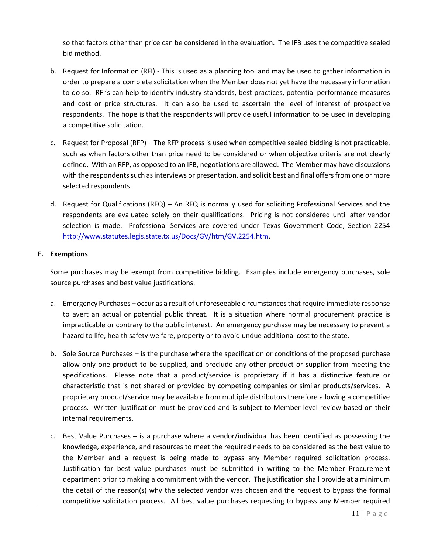so that factors other than price can be considered in the evaluation. The IFB uses the competitive sealed bid method.

- b. Request for Information (RFI) This is used as a planning tool and may be used to gather information in order to prepare a complete solicitation when the Member does not yet have the necessary information to do so. RFI's can help to identify industry standards, best practices, potential performance measures and cost or price structures. It can also be used to ascertain the level of interest of prospective respondents. The hope is that the respondents will provide useful information to be used in developing a competitive solicitation.
- c. Request for Proposal (RFP) The RFP process is used when competitive sealed bidding is not practicable, such as when factors other than price need to be considered or when objective criteria are not clearly defined. With an RFP, as opposed to an IFB, negotiations are allowed. The Member may have discussions with the respondents such as interviews or presentation, and solicit best and final offers from one or more selected respondents.
- d. Request for Qualifications (RFQ) An RFQ is normally used for soliciting Professional Services and the respondents are evaluated solely on their qualifications. Pricing is not considered until after vendor selection is made. Professional Services are covered under Texas Government Code, Section 2254 [http://www.statutes.legis.state.tx.us/Docs/GV/htm/GV.2254.htm.](http://www.statutes.legis.state.tx.us/Docs/GV/htm/GV.2254.htm)

# <span id="page-10-0"></span>**F. Exemptions**

Some purchases may be exempt from competitive bidding. Examples include emergency purchases, sole source purchases and best value justifications.

- a. Emergency Purchases occur as a result of unforeseeable circumstances that require immediate response to avert an actual or potential public threat. It is a situation where normal procurement practice is impracticable or contrary to the public interest. An emergency purchase may be necessary to prevent a hazard to life, health safety welfare, property or to avoid undue additional cost to the state.
- b. Sole Source Purchases is the purchase where the specification or conditions of the proposed purchase allow only one product to be supplied, and preclude any other product or supplier from meeting the specifications. Please note that a product/service is proprietary if it has a distinctive feature or characteristic that is not shared or provided by competing companies or similar products/services. A proprietary product/service may be available from multiple distributors therefore allowing a competitive process. Written justification must be provided and is subject to Member level review based on their internal requirements.
- c. Best Value Purchases is a purchase where a vendor/individual has been identified as possessing the knowledge, experience, and resources to meet the required needs to be considered as the best value to the Member and a request is being made to bypass any Member required solicitation process. Justification for best value purchases must be submitted in writing to the Member Procurement department prior to making a commitment with the vendor. The justification shall provide at a minimum the detail of the reason(s) why the selected vendor was chosen and the request to bypass the formal competitive solicitation process. All best value purchases requesting to bypass any Member required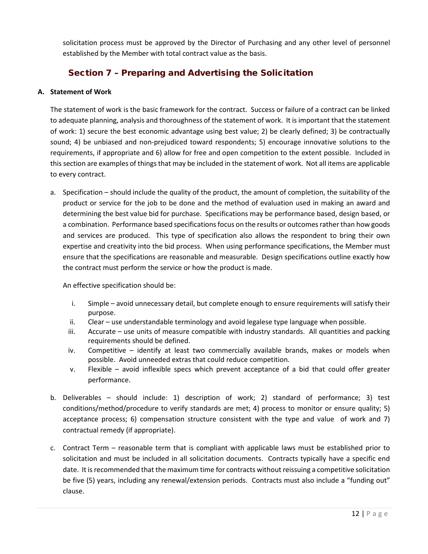solicitation process must be approved by the Director of Purchasing and any other level of personnel established by the Member with total contract value as the basis.

# <span id="page-11-0"></span>Section 7 – Preparing and Advertising the Solicitation

# <span id="page-11-1"></span>**A. Statement of Work**

The statement of work is the basic framework for the contract. Success or failure of a contract can be linked to adequate planning, analysis and thoroughness of the statement of work. It is important that the statement of work: 1) secure the best economic advantage using best value; 2) be clearly defined; 3) be contractually sound; 4) be unbiased and non-prejudiced toward respondents; 5) encourage innovative solutions to the requirements, if appropriate and 6) allow for free and open competition to the extent possible. Included in this section are examples of things that may be included in the statement of work. Not all items are applicable to every contract.

a. Specification – should include the quality of the product, the amount of completion, the suitability of the product or service for the job to be done and the method of evaluation used in making an award and determining the best value bid for purchase. Specifications may be performance based, design based, or a combination. Performance based specifications focus on the results or outcomes rather than how goods and services are produced. This type of specification also allows the respondent to bring their own expertise and creativity into the bid process. When using performance specifications, the Member must ensure that the specifications are reasonable and measurable. Design specifications outline exactly how the contract must perform the service or how the product is made.

An effective specification should be:

- i. Simple avoid unnecessary detail, but complete enough to ensure requirements will satisfy their purpose.
- ii. Clear use understandable terminology and avoid legalese type language when possible.
- iii. Accurate use units of measure compatible with industry standards. All quantities and packing requirements should be defined.
- iv. Competitive identify at least two commercially available brands, makes or models when possible. Avoid unneeded extras that could reduce competition.
- v. Flexible avoid inflexible specs which prevent acceptance of a bid that could offer greater performance.
- b. Deliverables should include: 1) description of work; 2) standard of performance; 3) test conditions/method/procedure to verify standards are met; 4) process to monitor or ensure quality; 5) acceptance process; 6) compensation structure consistent with the type and value of work and 7) contractual remedy (if appropriate).
- c. Contract Term reasonable term that is compliant with applicable laws must be established prior to solicitation and must be included in all solicitation documents. Contracts typically have a specific end date. It is recommended that the maximum time for contracts without reissuing a competitive solicitation be five (5) years, including any renewal/extension periods. Contracts must also include a "funding out" clause.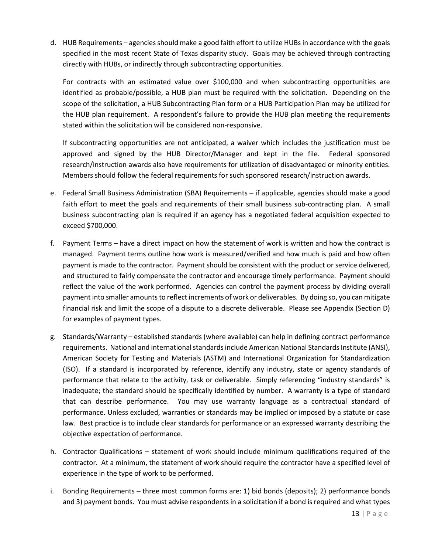d. HUB Requirements – agencies should make a good faith effort to utilize HUBs in accordance with the goals specified in the most recent State of Texas disparity study. Goals may be achieved through contracting directly with HUBs, or indirectly through subcontracting opportunities.

For contracts with an estimated value over \$100,000 and when subcontracting opportunities are identified as probable/possible, a HUB plan must be required with the solicitation. Depending on the scope of the solicitation, a HUB Subcontracting Plan form or a HUB Participation Plan may be utilized for the HUB plan requirement. A respondent's failure to provide the HUB plan meeting the requirements stated within the solicitation will be considered non-responsive.

If subcontracting opportunities are not anticipated, a waiver which includes the justification must be approved and signed by the HUB Director/Manager and kept in the file. Federal sponsored research/instruction awards also have requirements for utilization of disadvantaged or minority entities. Members should follow the federal requirements for such sponsored research/instruction awards.

- e. Federal Small Business Administration (SBA) Requirements if applicable, agencies should make a good faith effort to meet the goals and requirements of their small business sub-contracting plan. A small business subcontracting plan is required if an agency has a negotiated federal acquisition expected to exceed \$700,000.
- f. Payment Terms have a direct impact on how the statement of work is written and how the contract is managed. Payment terms outline how work is measured/verified and how much is paid and how often payment is made to the contractor. Payment should be consistent with the product or service delivered, and structured to fairly compensate the contractor and encourage timely performance. Payment should reflect the value of the work performed. Agencies can control the payment process by dividing overall payment into smaller amounts to reflect increments of work or deliverables. By doing so, you can mitigate financial risk and limit the scope of a dispute to a discrete deliverable. Please see Appendix (Section D) for examples of payment types.
- g. Standards/Warranty established standards (where available) can help in defining contract performance requirements. National and international standards include American National Standards Institute (ANSI), American Society for Testing and Materials (ASTM) and International Organization for Standardization (ISO). If a standard is incorporated by reference, identify any industry, state or agency standards of performance that relate to the activity, task or deliverable. Simply referencing "industry standards" is inadequate; the standard should be specifically identified by number. A warranty is a type of standard that can describe performance. You may use warranty language as a contractual standard of performance. Unless excluded, warranties or standards may be implied or imposed by a statute or case law. Best practice is to include clear standards for performance or an expressed warranty describing the objective expectation of performance.
- h. Contractor Qualifications statement of work should include minimum qualifications required of the contractor. At a minimum, the statement of work should require the contractor have a specified level of experience in the type of work to be performed.
- i. Bonding Requirements three most common forms are: 1) bid bonds (deposits); 2) performance bonds and 3) payment bonds. You must advise respondents in a solicitation if a bond is required and what types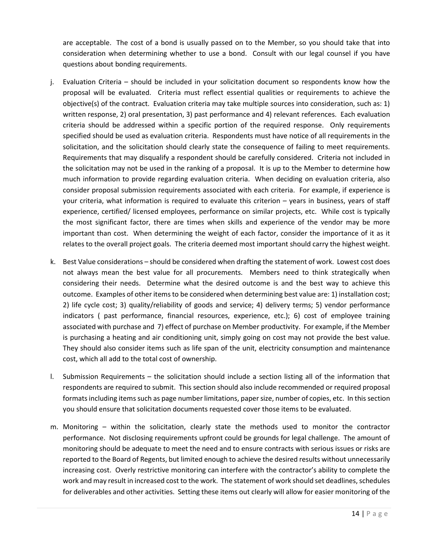are acceptable. The cost of a bond is usually passed on to the Member, so you should take that into consideration when determining whether to use a bond. Consult with our legal counsel if you have questions about bonding requirements.

- j. Evaluation Criteria should be included in your solicitation document so respondents know how the proposal will be evaluated. Criteria must reflect essential qualities or requirements to achieve the objective(s) of the contract. Evaluation criteria may take multiple sources into consideration, such as: 1) written response, 2) oral presentation, 3) past performance and 4) relevant references. Each evaluation criteria should be addressed within a specific portion of the required response. Only requirements specified should be used as evaluation criteria. Respondents must have notice of all requirements in the solicitation, and the solicitation should clearly state the consequence of failing to meet requirements. Requirements that may disqualify a respondent should be carefully considered. Criteria not included in the solicitation may not be used in the ranking of a proposal. It is up to the Member to determine how much information to provide regarding evaluation criteria. When deciding on evaluation criteria, also consider proposal submission requirements associated with each criteria. For example, if experience is your criteria, what information is required to evaluate this criterion – years in business, years of staff experience, certified/ licensed employees, performance on similar projects, etc. While cost is typically the most significant factor, there are times when skills and experience of the vendor may be more important than cost. When determining the weight of each factor, consider the importance of it as it relates to the overall project goals. The criteria deemed most important should carry the highest weight.
- k. Best Value considerations should be considered when drafting the statement of work. Lowest cost does not always mean the best value for all procurements. Members need to think strategically when considering their needs. Determine what the desired outcome is and the best way to achieve this outcome. Examples of other items to be considered when determining best value are: 1) installation cost; 2) life cycle cost; 3) quality/reliability of goods and service; 4) delivery terms; 5) vendor performance indicators ( past performance, financial resources, experience, etc.); 6) cost of employee training associated with purchase and 7) effect of purchase on Member productivity. For example, if the Member is purchasing a heating and air conditioning unit, simply going on cost may not provide the best value. They should also consider items such as life span of the unit, electricity consumption and maintenance cost, which all add to the total cost of ownership.
- l. Submission Requirements the solicitation should include a section listing all of the information that respondents are required to submit. This section should also include recommended or required proposal formats including items such as page number limitations, paper size, number of copies, etc. In this section you should ensure that solicitation documents requested cover those items to be evaluated.
- m. Monitoring within the solicitation, clearly state the methods used to monitor the contractor performance. Not disclosing requirements upfront could be grounds for legal challenge. The amount of monitoring should be adequate to meet the need and to ensure contracts with serious issues or risks are reported to the Board of Regents, but limited enough to achieve the desired results without unnecessarily increasing cost. Overly restrictive monitoring can interfere with the contractor's ability to complete the work and may result in increased cost to the work. The statement of work should set deadlines, schedules for deliverables and other activities. Setting these items out clearly will allow for easier monitoring of the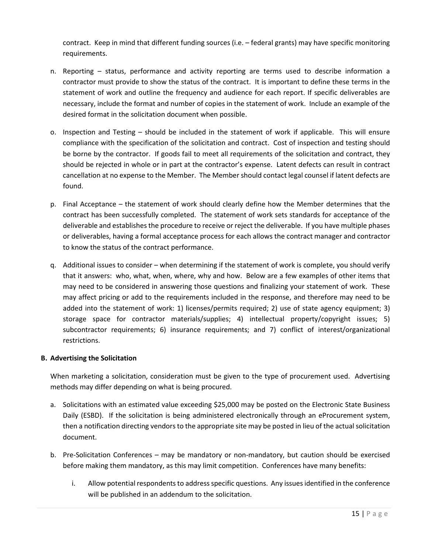contract. Keep in mind that different funding sources (i.e. – federal grants) may have specific monitoring requirements.

- n. Reporting status, performance and activity reporting are terms used to describe information a contractor must provide to show the status of the contract. It is important to define these terms in the statement of work and outline the frequency and audience for each report. If specific deliverables are necessary, include the format and number of copies in the statement of work. Include an example of the desired format in the solicitation document when possible.
- o. Inspection and Testing should be included in the statement of work if applicable. This will ensure compliance with the specification of the solicitation and contract. Cost of inspection and testing should be borne by the contractor. If goods fail to meet all requirements of the solicitation and contract, they should be rejected in whole or in part at the contractor's expense. Latent defects can result in contract cancellation at no expense to the Member. The Membershould contact legal counsel if latent defects are found.
- p. Final Acceptance the statement of work should clearly define how the Member determines that the contract has been successfully completed. The statement of work sets standards for acceptance of the deliverable and establishes the procedure to receive or reject the deliverable. If you have multiple phases or deliverables, having a formal acceptance process for each allows the contract manager and contractor to know the status of the contract performance.
- q. Additional issues to consider when determining if the statement of work is complete, you should verify that it answers: who, what, when, where, why and how. Below are a few examples of other items that may need to be considered in answering those questions and finalizing your statement of work. These may affect pricing or add to the requirements included in the response, and therefore may need to be added into the statement of work: 1) licenses/permits required; 2) use of state agency equipment; 3) storage space for contractor materials/supplies; 4) intellectual property/copyright issues; 5) subcontractor requirements; 6) insurance requirements; and 7) conflict of interest/organizational restrictions.

# <span id="page-14-0"></span>**B. Advertising the Solicitation**

When marketing a solicitation, consideration must be given to the type of procurement used. Advertising methods may differ depending on what is being procured.

- a. Solicitations with an estimated value exceeding \$25,000 may be posted on the Electronic State Business Daily (ESBD). If the solicitation is being administered electronically through an eProcurement system, then a notification directing vendors to the appropriate site may be posted in lieu of the actual solicitation document.
- b. Pre-Solicitation Conferences may be mandatory or non-mandatory, but caution should be exercised before making them mandatory, as this may limit competition. Conferences have many benefits:
	- i. Allow potential respondents to address specific questions. Any issues identified in the conference will be published in an addendum to the solicitation.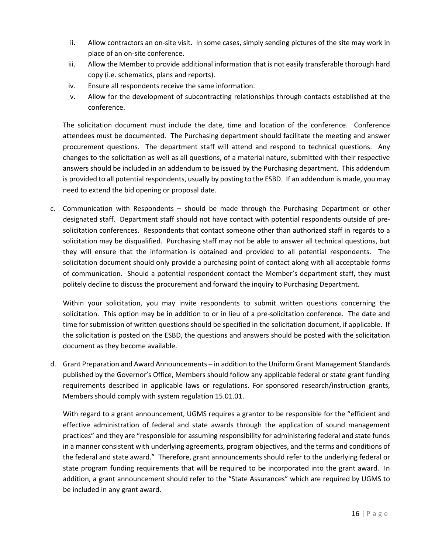- ii. Allow contractors an on-site visit. In some cases, simply sending pictures of the site may work in place of an on-site conference.
- iii. Allow the Member to provide additional information that is not easily transferable thorough hard copy (i.e. schematics, plans and reports).
- iv. Ensure all respondents receive the same information.
- v. Allow for the development of subcontracting relationships through contacts established at the conference.

The solicitation document must include the date, time and location of the conference. Conference attendees must be documented. The Purchasing department should facilitate the meeting and answer procurement questions. The department staff will attend and respond to technical questions. Any changes to the solicitation as well as all questions, of a material nature, submitted with their respective answers should be included in an addendum to be issued by the Purchasing department. This addendum is provided to all potential respondents, usually by posting to the ESBD. If an addendum is made, you may need to extend the bid opening or proposal date.

c. Communication with Respondents – should be made through the Purchasing Department or other designated staff. Department staff should not have contact with potential respondents outside of presolicitation conferences. Respondents that contact someone other than authorized staff in regards to a solicitation may be disqualified. Purchasing staff may not be able to answer all technical questions, but they will ensure that the information is obtained and provided to all potential respondents. The solicitation document should only provide a purchasing point of contact along with all acceptable forms of communication. Should a potential respondent contact the Member's department staff, they must politely decline to discuss the procurement and forward the inquiry to Purchasing Department.

Within your solicitation, you may invite respondents to submit written questions concerning the solicitation. This option may be in addition to or in lieu of a pre-solicitation conference. The date and time for submission of written questions should be specified in the solicitation document, if applicable. If the solicitation is posted on the ESBD, the questions and answers should be posted with the solicitation document as they become available.

d. Grant Preparation and Award Announcements – in addition to the Uniform Grant Management Standards published by the Governor's Office, Members should follow any applicable federal or state grant funding requirements described in applicable laws or regulations. For sponsored research/instruction grants, Members should comply with system regulation 15.01.01.

With regard to a grant announcement, UGMS requires a grantor to be responsible for the "efficient and effective administration of federal and state awards through the application of sound management practices" and they are "responsible for assuming responsibility for administering federal and state funds in a manner consistent with underlying agreements, program objectives, and the terms and conditions of the federal and state award." Therefore, grant announcements should refer to the underlying federal or state program funding requirements that will be required to be incorporated into the grant award. In addition, a grant announcement should refer to the "State Assurances" which are required by UGMS to be included in any grant award.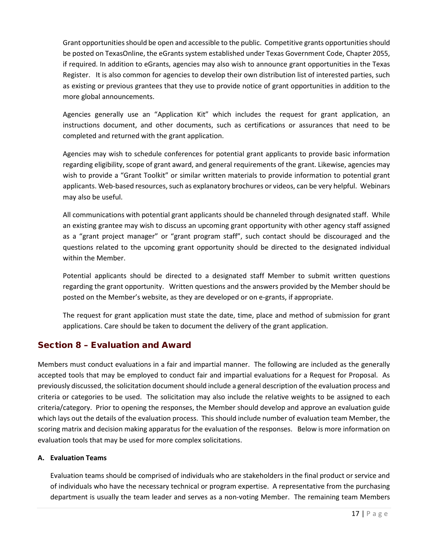Grant opportunitiesshould be open and accessible to the public. Competitive grants opportunities should be posted on TexasOnline, the eGrants system established under Texas Government Code, Chapter 2055, if required. In addition to eGrants, agencies may also wish to announce grant opportunities in the Texas Register. It is also common for agencies to develop their own distribution list of interested parties, such as existing or previous grantees that they use to provide notice of grant opportunities in addition to the more global announcements.

Agencies generally use an "Application Kit" which includes the request for grant application, an instructions document, and other documents, such as certifications or assurances that need to be completed and returned with the grant application.

Agencies may wish to schedule conferences for potential grant applicants to provide basic information regarding eligibility, scope of grant award, and general requirements of the grant. Likewise, agencies may wish to provide a "Grant Toolkit" or similar written materials to provide information to potential grant applicants. Web-based resources, such as explanatory brochures or videos, can be very helpful. Webinars may also be useful.

All communications with potential grant applicants should be channeled through designated staff. While an existing grantee may wish to discuss an upcoming grant opportunity with other agency staff assigned as a "grant project manager" or "grant program staff", such contact should be discouraged and the questions related to the upcoming grant opportunity should be directed to the designated individual within the Member.

Potential applicants should be directed to a designated staff Member to submit written questions regarding the grant opportunity. Written questions and the answers provided by the Member should be posted on the Member's website, as they are developed or on e-grants, if appropriate.

The request for grant application must state the date, time, place and method of submission for grant applications. Care should be taken to document the delivery of the grant application.

# <span id="page-16-0"></span>Section 8 – Evaluation and Award

Members must conduct evaluations in a fair and impartial manner. The following are included as the generally accepted tools that may be employed to conduct fair and impartial evaluations for a Request for Proposal. As previously discussed, the solicitation document should include a general description of the evaluation process and criteria or categories to be used. The solicitation may also include the relative weights to be assigned to each criteria/category. Prior to opening the responses, the Member should develop and approve an evaluation guide which lays out the details of the evaluation process. This should include number of evaluation team Member, the scoring matrix and decision making apparatus for the evaluation of the responses. Below is more information on evaluation tools that may be used for more complex solicitations.

# <span id="page-16-1"></span>**A. Evaluation Teams**

Evaluation teams should be comprised of individuals who are stakeholders in the final product or service and of individuals who have the necessary technical or program expertise. A representative from the purchasing department is usually the team leader and serves as a non-voting Member. The remaining team Members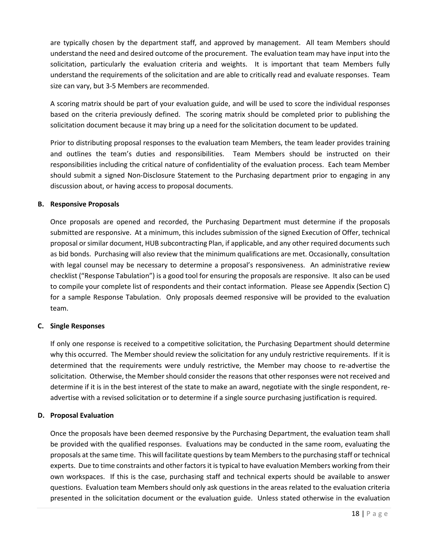are typically chosen by the department staff, and approved by management. All team Members should understand the need and desired outcome of the procurement. The evaluation team may have input into the solicitation, particularly the evaluation criteria and weights. It is important that team Members fully understand the requirements of the solicitation and are able to critically read and evaluate responses. Team size can vary, but 3-5 Members are recommended.

A scoring matrix should be part of your evaluation guide, and will be used to score the individual responses based on the criteria previously defined. The scoring matrix should be completed prior to publishing the solicitation document because it may bring up a need for the solicitation document to be updated.

Prior to distributing proposal responses to the evaluation team Members, the team leader provides training and outlines the team's duties and responsibilities. Team Members should be instructed on their responsibilities including the critical nature of confidentiality of the evaluation process. Each team Member should submit a signed Non-Disclosure Statement to the Purchasing department prior to engaging in any discussion about, or having access to proposal documents.

# <span id="page-17-0"></span>**B. Responsive Proposals**

Once proposals are opened and recorded, the Purchasing Department must determine if the proposals submitted are responsive. At a minimum, this includes submission of the signed Execution of Offer, technical proposal or similar document, HUB subcontracting Plan, if applicable, and any other required documents such as bid bonds. Purchasing will also review that the minimum qualifications are met. Occasionally, consultation with legal counsel may be necessary to determine a proposal's responsiveness. An administrative review checklist ("Response Tabulation") is a good tool for ensuring the proposals are responsive. It also can be used to compile your complete list of respondents and their contact information. Please see Appendix (Section C) for a sample Response Tabulation. Only proposals deemed responsive will be provided to the evaluation team.

## <span id="page-17-1"></span>**C. Single Responses**

If only one response is received to a competitive solicitation, the Purchasing Department should determine why this occurred. The Member should review the solicitation for any unduly restrictive requirements. If it is determined that the requirements were unduly restrictive, the Member may choose to re-advertise the solicitation. Otherwise, the Member should consider the reasons that other responses were not received and determine if it is in the best interest of the state to make an award, negotiate with the single respondent, readvertise with a revised solicitation or to determine if a single source purchasing justification is required.

## <span id="page-17-2"></span>**D. Proposal Evaluation**

Once the proposals have been deemed responsive by the Purchasing Department, the evaluation team shall be provided with the qualified responses. Evaluations may be conducted in the same room, evaluating the proposals at the same time. This will facilitate questions by team Members to the purchasing staff or technical experts. Due to time constraints and other factors it is typical to have evaluation Members working from their own workspaces. If this is the case, purchasing staff and technical experts should be available to answer questions. Evaluation team Members should only ask questions in the areas related to the evaluation criteria presented in the solicitation document or the evaluation guide. Unless stated otherwise in the evaluation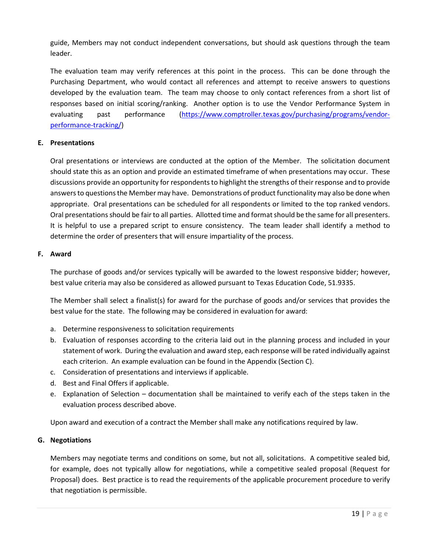guide, Members may not conduct independent conversations, but should ask questions through the team leader.

The evaluation team may verify references at this point in the process. This can be done through the Purchasing Department, who would contact all references and attempt to receive answers to questions developed by the evaluation team. The team may choose to only contact references from a short list of responses based on initial scoring/ranking. Another option is to use the Vendor Performance System in evaluating past performance [\(https://www.comptroller.texas.gov/purchasing/programs/vendor](https://www.comptroller.texas.gov/purchasing/programs/vendor-performance-tracking/)[performance-tracking/\)](https://www.comptroller.texas.gov/purchasing/programs/vendor-performance-tracking/)

# <span id="page-18-0"></span>**E. Presentations**

Oral presentations or interviews are conducted at the option of the Member. The solicitation document should state this as an option and provide an estimated timeframe of when presentations may occur. These discussions provide an opportunity for respondents to highlight the strengths of their response and to provide answers to questions the Member may have. Demonstrations of product functionality may also be done when appropriate. Oral presentations can be scheduled for all respondents or limited to the top ranked vendors. Oral presentations should be fair to all parties. Allotted time and format should be the same for all presenters. It is helpful to use a prepared script to ensure consistency. The team leader shall identify a method to determine the order of presenters that will ensure impartiality of the process.

# <span id="page-18-1"></span>**F. Award**

The purchase of goods and/or services typically will be awarded to the lowest responsive bidder; however, best value criteria may also be considered as allowed pursuant to Texas Education Code, 51.9335.

The Member shall select a finalist(s) for award for the purchase of goods and/or services that provides the best value for the state. The following may be considered in evaluation for award:

- a. Determine responsiveness to solicitation requirements
- b. Evaluation of responses according to the criteria laid out in the planning process and included in your statement of work. During the evaluation and award step, each response will be rated individually against each criterion. An example evaluation can be found in the Appendix (Section C).
- c. Consideration of presentations and interviews if applicable.
- d. Best and Final Offers if applicable.
- e. Explanation of Selection documentation shall be maintained to verify each of the steps taken in the evaluation process described above.

Upon award and execution of a contract the Member shall make any notifications required by law.

## <span id="page-18-2"></span>**G. Negotiations**

Members may negotiate terms and conditions on some, but not all, solicitations. A competitive sealed bid, for example, does not typically allow for negotiations, while a competitive sealed proposal (Request for Proposal) does. Best practice is to read the requirements of the applicable procurement procedure to verify that negotiation is permissible.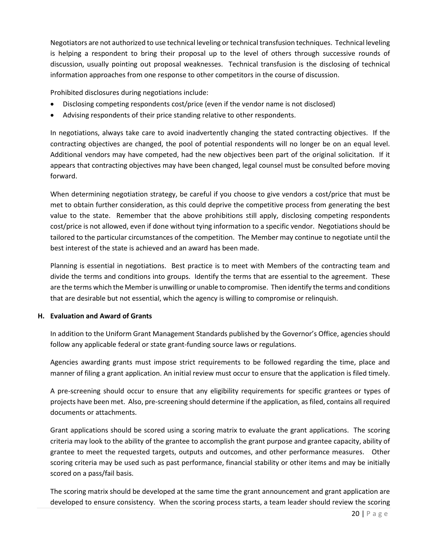Negotiators are not authorized to use technical leveling or technical transfusion techniques. Technical leveling is helping a respondent to bring their proposal up to the level of others through successive rounds of discussion, usually pointing out proposal weaknesses. Technical transfusion is the disclosing of technical information approaches from one response to other competitors in the course of discussion.

Prohibited disclosures during negotiations include:

- Disclosing competing respondents cost/price (even if the vendor name is not disclosed)
- Advising respondents of their price standing relative to other respondents.

In negotiations, always take care to avoid inadvertently changing the stated contracting objectives. If the contracting objectives are changed, the pool of potential respondents will no longer be on an equal level. Additional vendors may have competed, had the new objectives been part of the original solicitation. If it appears that contracting objectives may have been changed, legal counsel must be consulted before moving forward.

When determining negotiation strategy, be careful if you choose to give vendors a cost/price that must be met to obtain further consideration, as this could deprive the competitive process from generating the best value to the state. Remember that the above prohibitions still apply, disclosing competing respondents cost/price is not allowed, even if done without tying information to a specific vendor. Negotiations should be tailored to the particular circumstances of the competition. The Member may continue to negotiate until the best interest of the state is achieved and an award has been made.

Planning is essential in negotiations. Best practice is to meet with Members of the contracting team and divide the terms and conditions into groups. Identify the terms that are essential to the agreement. These are the terms which the Memberis unwilling or unable to compromise. Then identify the terms and conditions that are desirable but not essential, which the agency is willing to compromise or relinquish.

## <span id="page-19-0"></span>**H. Evaluation and Award of Grants**

In addition to the Uniform Grant Management Standards published by the Governor's Office, agencies should follow any applicable federal or state grant-funding source laws or regulations.

Agencies awarding grants must impose strict requirements to be followed regarding the time, place and manner of filing a grant application. An initial review must occur to ensure that the application is filed timely.

A pre-screening should occur to ensure that any eligibility requirements for specific grantees or types of projects have been met. Also, pre-screening should determine if the application, as filed, contains all required documents or attachments.

Grant applications should be scored using a scoring matrix to evaluate the grant applications. The scoring criteria may look to the ability of the grantee to accomplish the grant purpose and grantee capacity, ability of grantee to meet the requested targets, outputs and outcomes, and other performance measures. Other scoring criteria may be used such as past performance, financial stability or other items and may be initially scored on a pass/fail basis.

The scoring matrix should be developed at the same time the grant announcement and grant application are developed to ensure consistency. When the scoring process starts, a team leader should review the scoring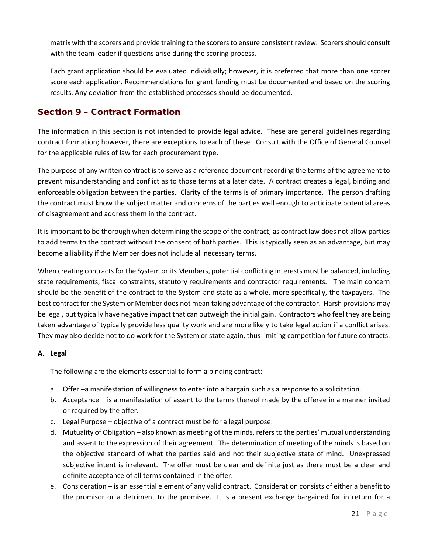matrix with the scorers and provide training to the scorers to ensure consistent review. Scorers should consult with the team leader if questions arise during the scoring process.

Each grant application should be evaluated individually; however, it is preferred that more than one scorer score each application. Recommendations for grant funding must be documented and based on the scoring results. Any deviation from the established processes should be documented.

# <span id="page-20-0"></span>Section 9 – Contract Formation

The information in this section is not intended to provide legal advice. These are general guidelines regarding contract formation; however, there are exceptions to each of these. Consult with the Office of General Counsel for the applicable rules of law for each procurement type.

The purpose of any written contract is to serve as a reference document recording the terms of the agreement to prevent misunderstanding and conflict as to those terms at a later date. A contract creates a legal, binding and enforceable obligation between the parties. Clarity of the terms is of primary importance. The person drafting the contract must know the subject matter and concerns of the parties well enough to anticipate potential areas of disagreement and address them in the contract.

It is important to be thorough when determining the scope of the contract, as contract law does not allow parties to add terms to the contract without the consent of both parties. This is typically seen as an advantage, but may become a liability if the Member does not include all necessary terms.

When creating contracts for the System or its Members, potential conflicting interests must be balanced, including state requirements, fiscal constraints, statutory requirements and contractor requirements. The main concern should be the benefit of the contract to the System and state as a whole, more specifically, the taxpayers. The best contract for the System or Member does not mean taking advantage of the contractor. Harsh provisions may be legal, but typically have negative impact that can outweigh the initial gain. Contractors who feel they are being taken advantage of typically provide less quality work and are more likely to take legal action if a conflict arises. They may also decide not to do work for the System or state again, thus limiting competition for future contracts.

# <span id="page-20-1"></span>**A. Legal**

The following are the elements essential to form a binding contract:

- a. Offer –a manifestation of willingness to enter into a bargain such as a response to a solicitation.
- b. Acceptance is a manifestation of assent to the terms thereof made by the offeree in a manner invited or required by the offer.
- c. Legal Purpose objective of a contract must be for a legal purpose.
- d. Mutuality of Obligation also known as meeting of the minds, refers to the parties' mutual understanding and assent to the expression of their agreement. The determination of meeting of the minds is based on the objective standard of what the parties said and not their subjective state of mind. Unexpressed subjective intent is irrelevant. The offer must be clear and definite just as there must be a clear and definite acceptance of all terms contained in the offer.
- e. Consideration is an essential element of any valid contract. Consideration consists of either a benefit to the promisor or a detriment to the promisee. It is a present exchange bargained for in return for a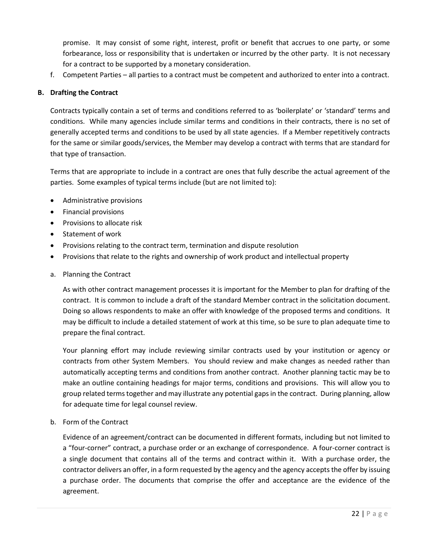promise. It may consist of some right, interest, profit or benefit that accrues to one party, or some forbearance, loss or responsibility that is undertaken or incurred by the other party. It is not necessary for a contract to be supported by a monetary consideration.

f. Competent Parties – all parties to a contract must be competent and authorized to enter into a contract.

#### <span id="page-21-0"></span>**B. Drafting the Contract**

Contracts typically contain a set of terms and conditions referred to as 'boilerplate' or 'standard' terms and conditions. While many agencies include similar terms and conditions in their contracts, there is no set of generally accepted terms and conditions to be used by all state agencies. If a Member repetitively contracts for the same or similar goods/services, the Member may develop a contract with terms that are standard for that type of transaction.

Terms that are appropriate to include in a contract are ones that fully describe the actual agreement of the parties. Some examples of typical terms include (but are not limited to):

- Administrative provisions
- Financial provisions
- Provisions to allocate risk
- Statement of work
- Provisions relating to the contract term, termination and dispute resolution
- Provisions that relate to the rights and ownership of work product and intellectual property
- a. Planning the Contract

As with other contract management processes it is important for the Member to plan for drafting of the contract. It is common to include a draft of the standard Member contract in the solicitation document. Doing so allows respondents to make an offer with knowledge of the proposed terms and conditions. It may be difficult to include a detailed statement of work at this time, so be sure to plan adequate time to prepare the final contract.

Your planning effort may include reviewing similar contracts used by your institution or agency or contracts from other System Members. You should review and make changes as needed rather than automatically accepting terms and conditions from another contract. Another planning tactic may be to make an outline containing headings for major terms, conditions and provisions. This will allow you to group related terms together and may illustrate any potential gaps in the contract. During planning, allow for adequate time for legal counsel review.

b. Form of the Contract

Evidence of an agreement/contract can be documented in different formats, including but not limited to a "four-corner" contract, a purchase order or an exchange of correspondence. A four-corner contract is a single document that contains all of the terms and contract within it. With a purchase order, the contractor delivers an offer, in a form requested by the agency and the agency accepts the offer by issuing a purchase order. The documents that comprise the offer and acceptance are the evidence of the agreement.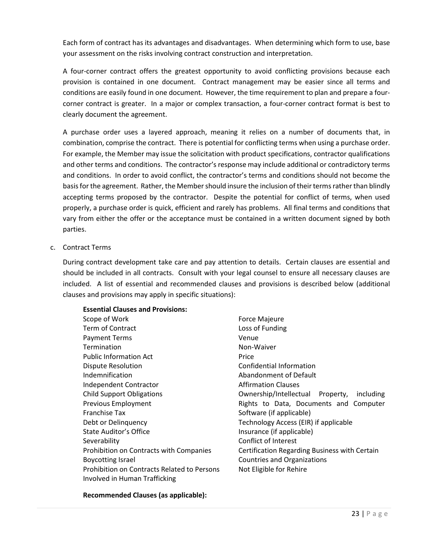Each form of contract has its advantages and disadvantages. When determining which form to use, base your assessment on the risks involving contract construction and interpretation.

A four-corner contract offers the greatest opportunity to avoid conflicting provisions because each provision is contained in one document. Contract management may be easier since all terms and conditions are easily found in one document. However, the time requirement to plan and prepare a fourcorner contract is greater. In a major or complex transaction, a four-corner contract format is best to clearly document the agreement.

A purchase order uses a layered approach, meaning it relies on a number of documents that, in combination, comprise the contract. There is potential for conflicting terms when using a purchase order. For example, the Member may issue the solicitation with product specifications, contractor qualifications and other terms and conditions. The contractor's response may include additional or contradictory terms and conditions. In order to avoid conflict, the contractor's terms and conditions should not become the basis for the agreement. Rather, the Membershould insure the inclusion of their terms rather than blindly accepting terms proposed by the contractor. Despite the potential for conflict of terms, when used properly, a purchase order is quick, efficient and rarely has problems. All final terms and conditions that vary from either the offer or the acceptance must be contained in a written document signed by both parties.

c. Contract Terms

During contract development take care and pay attention to details. Certain clauses are essential and should be included in all contracts. Consult with your legal counsel to ensure all necessary clauses are included. A list of essential and recommended clauses and provisions is described below (additional clauses and provisions may apply in specific situations):

| <b>Essential Clauses and Provisions:</b>           |                                               |
|----------------------------------------------------|-----------------------------------------------|
| Scope of Work                                      | <b>Force Majeure</b>                          |
| <b>Term of Contract</b>                            | Loss of Funding                               |
| <b>Payment Terms</b>                               | Venue                                         |
| Termination                                        | Non-Waiver                                    |
| <b>Public Information Act</b>                      | Price                                         |
| Dispute Resolution                                 | Confidential Information                      |
| Indemnification                                    | Abandonment of Default                        |
| Independent Contractor                             | <b>Affirmation Clauses</b>                    |
| <b>Child Support Obligations</b>                   | Ownership/Intellectual Property,<br>including |
| Previous Employment                                | Rights to Data, Documents and Computer        |
| <b>Franchise Tax</b>                               | Software (if applicable)                      |
| Debt or Delinguency                                | Technology Access (EIR) if applicable         |
| State Auditor's Office                             | Insurance (if applicable)                     |
| Severability                                       | Conflict of Interest                          |
| Prohibition on Contracts with Companies            | Certification Regarding Business with Certain |
| <b>Boycotting Israel</b>                           | <b>Countries and Organizations</b>            |
| <b>Prohibition on Contracts Related to Persons</b> | Not Eligible for Rehire                       |
| Involved in Human Trafficking                      |                                               |

## **Recommended Clauses (as applicable):**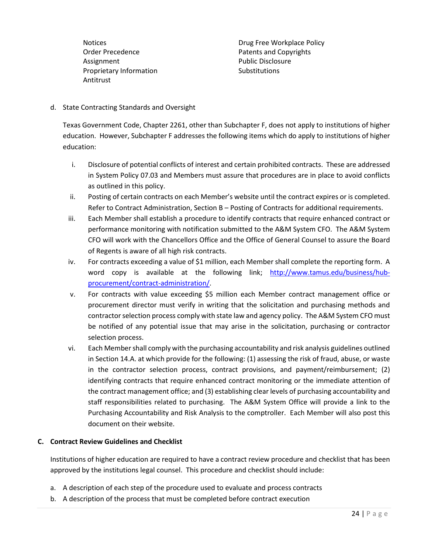Order Precedence **Patents and Copyrights** Assignment **Assignment Public Disclosure** Proprietary Information Substitutions Antitrust

Notices **Notices Drug Free Workplace Policy** 

d. State Contracting Standards and Oversight

Texas Government Code, Chapter 2261, other than Subchapter F, does not apply to institutions of higher education. However, Subchapter F addresses the following items which do apply to institutions of higher education:

- i. Disclosure of potential conflicts of interest and certain prohibited contracts. These are addressed in System Policy 07.03 and Members must assure that procedures are in place to avoid conflicts as outlined in this policy.
- ii. Posting of certain contracts on each Member's website until the contract expires or is completed. Refer to Contract Administration, Section B – Posting of Contracts for additional requirements.
- iii. Each Member shall establish a procedure to identify contracts that require enhanced contract or performance monitoring with notification submitted to the A&M System CFO. The A&M System CFO will work with the Chancellors Office and the Office of General Counsel to assure the Board of Regents is aware of all high risk contracts.
- iv. For contracts exceeding a value of \$1 million, each Member shall complete the reporting form. A word copy is available at the following link; [http://www.tamus.edu/business/hub](http://www.tamus.edu/business/hub-procurement/contract-administration/)[procurement/contract-administration/.](http://www.tamus.edu/business/hub-procurement/contract-administration/)
- v. For contracts with value exceeding \$5 million each Member contract management office or procurement director must verify in writing that the solicitation and purchasing methods and contractor selection process comply with state law and agency policy. The A&M System CFO must be notified of any potential issue that may arise in the solicitation, purchasing or contractor selection process.
- vi. Each Membershall comply with the purchasing accountability and risk analysis guidelines outlined in Section 14.A. at which provide for the following: (1) assessing the risk of fraud, abuse, or waste in the contractor selection process, contract provisions, and payment/reimbursement; (2) identifying contracts that require enhanced contract monitoring or the immediate attention of the contract management office; and (3) establishing clear levels of purchasing accountability and staff responsibilities related to purchasing. The A&M System Office will provide a link to the Purchasing Accountability and Risk Analysis to the comptroller. Each Member will also post this document on their website.

## <span id="page-23-0"></span>**C. Contract Review Guidelines and Checklist**

Institutions of higher education are required to have a contract review procedure and checklist that has been approved by the institutions legal counsel. This procedure and checklist should include:

- a. A description of each step of the procedure used to evaluate and process contracts
- b. A description of the process that must be completed before contract execution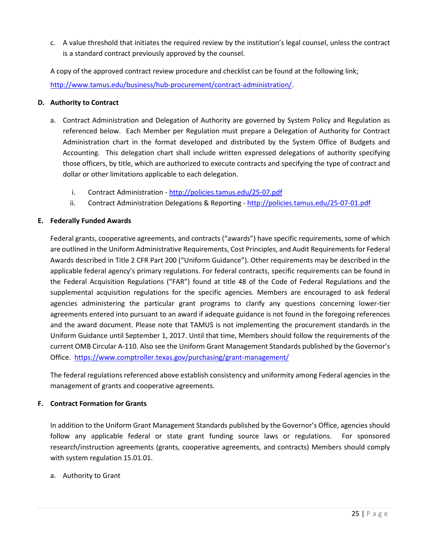c. A value threshold that initiates the required review by the institution's legal counsel, unless the contract is a standard contract previously approved by the counsel.

A copy of the approved contract review procedure and checklist can be found at the following link; [http://www.tamus.edu/business/hub-procurement/contract-administration/.](http://www.tamus.edu/business/hub-procurement/contract-administration/)

## <span id="page-24-0"></span>**D. Authority to Contract**

- a. Contract Administration and Delegation of Authority are governed by System Policy and Regulation as referenced below. Each Member per Regulation must prepare a Delegation of Authority for Contract Administration chart in the format developed and distributed by the System Office of Budgets and Accounting. This delegation chart shall include written expressed delegations of authority specifying those officers, by title, which are authorized to execute contracts and specifying the type of contract and dollar or other limitations applicable to each delegation.
	- i. Contract Administration <http://policies.tamus.edu/25-07.pdf>
	- ii. Contract Administration Delegations & Reporting <http://policies.tamus.edu/25-07-01.pdf>

# <span id="page-24-1"></span>**E. Federally Funded Awards**

Federal grants, cooperative agreements, and contracts ("awards") have specific requirements, some of which are outlined in the Uniform Administrative Requirements, Cost Principles, and Audit Requirements for Federal Awards described in Title 2 CFR Part 200 ("Uniform Guidance"). Other requirements may be described in the applicable federal agency's primary regulations. For federal contracts, specific requirements can be found in the Federal Acquisition Regulations ("FAR") found at title 48 of the Code of Federal Regulations and the supplemental acquisition regulations for the specific agencies. Members are encouraged to ask federal agencies administering the particular grant programs to clarify any questions concerning lower-tier agreements entered into pursuant to an award if adequate guidance is not found in the foregoing references and the award document. Please note that TAMUS is not implementing the procurement standards in the Uniform Guidance until September 1, 2017. Until that time, Members should follow the requirements of the current OMB Circular A-110. Also see the Uniform Grant Management Standards published by the Governor's Office.<https://www.comptroller.texas.gov/purchasing/grant-management/>

The federal regulations referenced above establish consistency and uniformity among Federal agencies in the management of grants and cooperative agreements.

# <span id="page-24-2"></span>**F. Contract Formation for Grants**

In addition to the Uniform Grant Management Standards published by the Governor's Office, agencies should follow any applicable federal or state grant funding source laws or regulations. For sponsored research/instruction agreements (grants, cooperative agreements, and contracts) Members should comply with system regulation 15.01.01.

a. Authority to Grant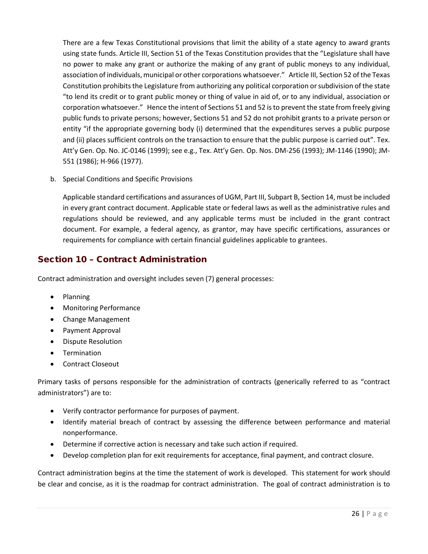There are a few Texas Constitutional provisions that limit the ability of a state agency to award grants using state funds. Article III, Section 51 of the Texas Constitution provides that the "Legislature shall have no power to make any grant or authorize the making of any grant of public moneys to any individual, association of individuals, municipal or other corporations whatsoever." Article III, Section 52 of the Texas Constitution prohibits the Legislature from authorizing any political corporation or subdivision of the state "to lend its credit or to grant public money or thing of value in aid of, or to any individual, association or corporation whatsoever." Hence the intent of Sections 51 and 52 is to prevent the state from freely giving public funds to private persons; however, Sections 51 and 52 do not prohibit grants to a private person or entity "if the appropriate governing body (i) determined that the expenditures serves a public purpose and (ii) places sufficient controls on the transaction to ensure that the public purpose is carried out". Tex. Att'y Gen. Op. No. JC-0146 (1999); see e.g., Tex. Att'y Gen. Op. Nos. DM-256 (1993); JM-1146 (1990); JM-551 (1986); H-966 (1977).

b. Special Conditions and Specific Provisions

Applicable standard certifications and assurances of UGM, Part III, Subpart B, Section 14, must be included in every grant contract document. Applicable state or federal laws as well as the administrative rules and regulations should be reviewed, and any applicable terms must be included in the grant contract document. For example, a federal agency, as grantor, may have specific certifications, assurances or requirements for compliance with certain financial guidelines applicable to grantees.

# <span id="page-25-0"></span>Section 10 – Contract Administration

Contract administration and oversight includes seven (7) general processes:

- Planning
- Monitoring Performance
- Change Management
- Payment Approval
- Dispute Resolution
- **Termination**
- Contract Closeout

Primary tasks of persons responsible for the administration of contracts (generically referred to as "contract administrators") are to:

- Verify contractor performance for purposes of payment.
- Identify material breach of contract by assessing the difference between performance and material nonperformance.
- Determine if corrective action is necessary and take such action if required.
- Develop completion plan for exit requirements for acceptance, final payment, and contract closure.

Contract administration begins at the time the statement of work is developed. This statement for work should be clear and concise, as it is the roadmap for contract administration. The goal of contract administration is to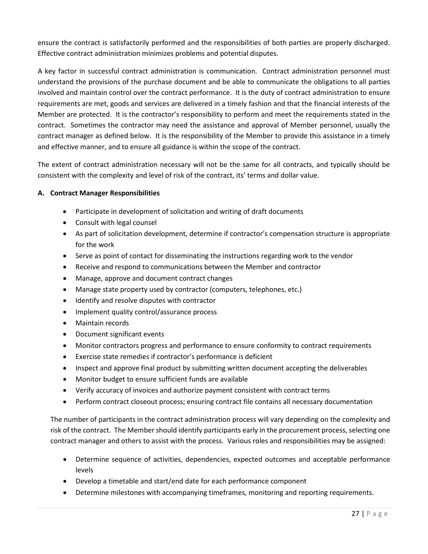ensure the contract is satisfactorily performed and the responsibilities of both parties are properly discharged. Effective contract administration minimizes problems and potential disputes.

A key factor in successful contract administration is communication. Contract administration personnel must understand the provisions of the purchase document and be able to communicate the obligations to all parties involved and maintain control over the contract performance. It is the duty of contract administration to ensure requirements are met, goods and services are delivered in a timely fashion and that the financial interests of the Member are protected. It is the contractor's responsibility to perform and meet the requirements stated in the contract. Sometimes the contractor may need the assistance and approval of Member personnel, usually the contract manager as defined below. It is the responsibility of the Member to provide this assistance in a timely and effective manner, and to ensure all guidance is within the scope of the contract.

The extent of contract administration necessary will not be the same for all contracts, and typically should be consistent with the complexity and level of risk of the contract, its' terms and dollar value.

# <span id="page-26-0"></span>**A. Contract Manager Responsibilities**

- Participate in development of solicitation and writing of draft documents
- Consult with legal counsel
- As part of solicitation development, determine if contractor's compensation structure is appropriate for the work
- Serve as point of contact for disseminating the instructions regarding work to the vendor
- Receive and respond to communications between the Member and contractor
- Manage, approve and document contract changes
- Manage state property used by contractor (computers, telephones, etc.)
- Identify and resolve disputes with contractor
- Implement quality control/assurance process
- Maintain records
- Document significant events
- Monitor contractors progress and performance to ensure conformity to contract requirements
- Exercise state remedies if contractor's performance is deficient
- Inspect and approve final product by submitting written document accepting the deliverables
- Monitor budget to ensure sufficient funds are available
- Verify accuracy of invoices and authorize payment consistent with contract terms
- Perform contract closeout process; ensuring contract file contains all necessary documentation

The number of participants in the contract administration process will vary depending on the complexity and risk of the contract. The Member should identify participants early in the procurement process, selecting one contract manager and others to assist with the process. Various roles and responsibilities may be assigned:

- Determine sequence of activities, dependencies, expected outcomes and acceptable performance levels
- Develop a timetable and start/end date for each performance component
- Determine milestones with accompanying timeframes, monitoring and reporting requirements.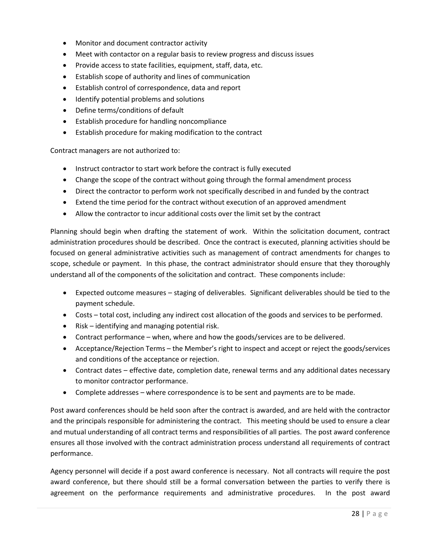- Monitor and document contractor activity
- Meet with contactor on a regular basis to review progress and discuss issues
- Provide access to state facilities, equipment, staff, data, etc.
- Establish scope of authority and lines of communication
- Establish control of correspondence, data and report
- Identify potential problems and solutions
- Define terms/conditions of default
- Establish procedure for handling noncompliance
- Establish procedure for making modification to the contract

Contract managers are not authorized to:

- Instruct contractor to start work before the contract is fully executed
- Change the scope of the contract without going through the formal amendment process
- Direct the contractor to perform work not specifically described in and funded by the contract
- Extend the time period for the contract without execution of an approved amendment
- Allow the contractor to incur additional costs over the limit set by the contract

Planning should begin when drafting the statement of work. Within the solicitation document, contract administration procedures should be described. Once the contract is executed, planning activities should be focused on general administrative activities such as management of contract amendments for changes to scope, schedule or payment. In this phase, the contract administrator should ensure that they thoroughly understand all of the components of the solicitation and contract. These components include:

- Expected outcome measures staging of deliverables. Significant deliverables should be tied to the payment schedule.
- Costs total cost, including any indirect cost allocation of the goods and services to be performed.
- Risk identifying and managing potential risk.
- Contract performance when, where and how the goods/services are to be delivered.
- Acceptance/Rejection Terms the Member's right to inspect and accept or reject the goods/services and conditions of the acceptance or rejection.
- Contract dates effective date, completion date, renewal terms and any additional dates necessary to monitor contractor performance.
- Complete addresses where correspondence is to be sent and payments are to be made.

Post award conferences should be held soon after the contract is awarded, and are held with the contractor and the principals responsible for administering the contract. This meeting should be used to ensure a clear and mutual understanding of all contract terms and responsibilities of all parties. The post award conference ensures all those involved with the contract administration process understand all requirements of contract performance.

Agency personnel will decide if a post award conference is necessary. Not all contracts will require the post award conference, but there should still be a formal conversation between the parties to verify there is agreement on the performance requirements and administrative procedures. In the post award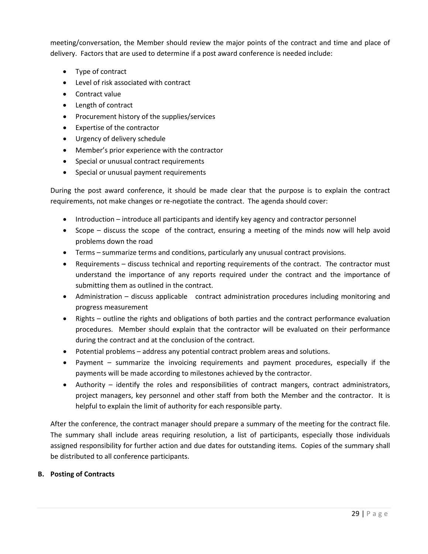meeting/conversation, the Member should review the major points of the contract and time and place of delivery. Factors that are used to determine if a post award conference is needed include:

- Type of contract
- Level of risk associated with contract
- Contract value
- Length of contract
- Procurement history of the supplies/services
- Expertise of the contractor
- Urgency of delivery schedule
- Member's prior experience with the contractor
- Special or unusual contract requirements
- Special or unusual payment requirements

During the post award conference, it should be made clear that the purpose is to explain the contract requirements, not make changes or re-negotiate the contract. The agenda should cover:

- Introduction introduce all participants and identify key agency and contractor personnel
- Scope discuss the scope of the contract, ensuring a meeting of the minds now will help avoid problems down the road
- Terms summarize terms and conditions, particularly any unusual contract provisions.
- Requirements discuss technical and reporting requirements of the contract. The contractor must understand the importance of any reports required under the contract and the importance of submitting them as outlined in the contract.
- Administration discuss applicable contract administration procedures including monitoring and progress measurement
- Rights outline the rights and obligations of both parties and the contract performance evaluation procedures. Member should explain that the contractor will be evaluated on their performance during the contract and at the conclusion of the contract.
- Potential problems address any potential contract problem areas and solutions.
- Payment summarize the invoicing requirements and payment procedures, especially if the payments will be made according to milestones achieved by the contractor.
- Authority identify the roles and responsibilities of contract mangers, contract administrators, project managers, key personnel and other staff from both the Member and the contractor. It is helpful to explain the limit of authority for each responsible party.

After the conference, the contract manager should prepare a summary of the meeting for the contract file. The summary shall include areas requiring resolution, a list of participants, especially those individuals assigned responsibility for further action and due dates for outstanding items. Copies of the summary shall be distributed to all conference participants.

## <span id="page-28-0"></span>**B. Posting of Contracts**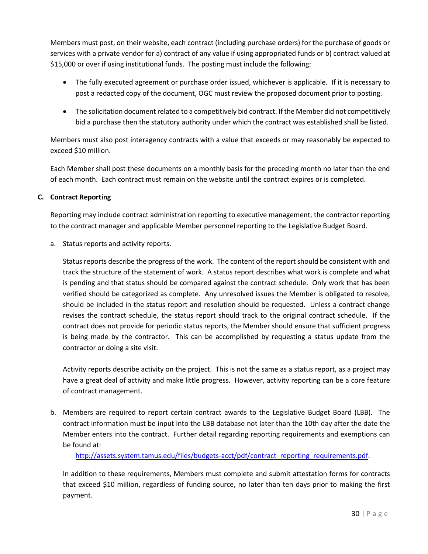Members must post, on their website, each contract (including purchase orders) for the purchase of goods or services with a private vendor for a) contract of any value if using appropriated funds or b) contract valued at \$15,000 or over if using institutional funds. The posting must include the following:

- The fully executed agreement or purchase order issued, whichever is applicable. If it is necessary to post a redacted copy of the document, OGC must review the proposed document prior to posting.
- The solicitation document related to a competitively bid contract. If the Member did not competitively bid a purchase then the statutory authority under which the contract was established shall be listed.

Members must also post interagency contracts with a value that exceeds or may reasonably be expected to exceed \$10 million.

Each Member shall post these documents on a monthly basis for the preceding month no later than the end of each month. Each contract must remain on the website until the contract expires or is completed.

# <span id="page-29-0"></span>**C. Contract Reporting**

Reporting may include contract administration reporting to executive management, the contractor reporting to the contract manager and applicable Member personnel reporting to the Legislative Budget Board.

a. Status reports and activity reports.

Status reports describe the progress of the work. The content of the report should be consistent with and track the structure of the statement of work. A status report describes what work is complete and what is pending and that status should be compared against the contract schedule. Only work that has been verified should be categorized as complete. Any unresolved issues the Member is obligated to resolve, should be included in the status report and resolution should be requested. Unless a contract change revises the contract schedule, the status report should track to the original contract schedule. If the contract does not provide for periodic status reports, the Member should ensure that sufficient progress is being made by the contractor. This can be accomplished by requesting a status update from the contractor or doing a site visit.

Activity reports describe activity on the project. This is not the same as a status report, as a project may have a great deal of activity and make little progress. However, activity reporting can be a core feature of contract management.

b. Members are required to report certain contract awards to the Legislative Budget Board (LBB). The contract information must be input into the LBB database not later than the 10th day after the date the Member enters into the contract. Further detail regarding reporting requirements and exemptions can be found at:

[http://assets.system.tamus.edu/files/budgets-acct/pdf/contract\\_reporting\\_requirements.pdf.](http://assets.system.tamus.edu/files/budgets-acct/pdf/contract_reporting_requirements.pdf)

In addition to these requirements, Members must complete and submit attestation forms for contracts that exceed \$10 million, regardless of funding source, no later than ten days prior to making the first payment.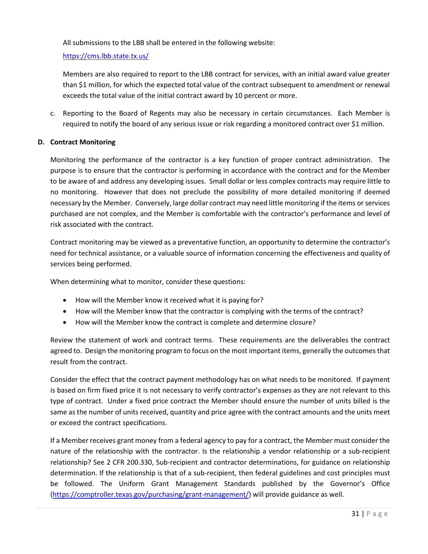All submissions to the LBB shall be entered in the following website:

<https://cms.lbb.state.tx.us/>

Members are also required to report to the LBB contract for services, with an initial award value greater than \$1 million, for which the expected total value of the contract subsequent to amendment or renewal exceeds the total value of the initial contract award by 10 percent or more.

c. Reporting to the Board of Regents may also be necessary in certain circumstances. Each Member is required to notify the board of any serious issue or risk regarding a monitored contract over \$1 million.

# <span id="page-30-0"></span>**D. Contract Monitoring**

Monitoring the performance of the contractor is a key function of proper contract administration. The purpose is to ensure that the contractor is performing in accordance with the contract and for the Member to be aware of and address any developing issues. Small dollar or less complex contracts may require little to no monitoring. However that does not preclude the possibility of more detailed monitoring if deemed necessary by the Member. Conversely, large dollar contract may need little monitoring if the items or services purchased are not complex, and the Member is comfortable with the contractor's performance and level of risk associated with the contract.

Contract monitoring may be viewed as a preventative function, an opportunity to determine the contractor's need for technical assistance, or a valuable source of information concerning the effectiveness and quality of services being performed.

When determining what to monitor, consider these questions:

- How will the Member know it received what it is paying for?
- How will the Member know that the contractor is complying with the terms of the contract?
- How will the Member know the contract is complete and determine closure?

Review the statement of work and contract terms. These requirements are the deliverables the contract agreed to. Design the monitoring program to focus on the most important items, generally the outcomes that result from the contract.

Consider the effect that the contract payment methodology has on what needs to be monitored. If payment is based on firm fixed price it is not necessary to verify contractor's expenses as they are not relevant to this type of contract. Under a fixed price contract the Member should ensure the number of units billed is the same as the number of units received, quantity and price agree with the contract amounts and the units meet or exceed the contract specifications.

If a Member receives grant money from a federal agency to pay for a contract, the Member must consider the nature of the relationship with the contractor. Is the relationship a vendor relationship or a sub-recipient relationship? See 2 CFR 200.330, Sub-recipient and contractor determinations, for guidance on relationship determination. If the relationship is that of a sub-recipient, then federal guidelines and cost principles must be followed. The Uniform Grant Management Standards published by the Governor's Office [\(https://comptroller.texas.gov/purchasing/grant-management/\)](https://comptroller.texas.gov/purchasing/grant-management/) will provide guidance as well.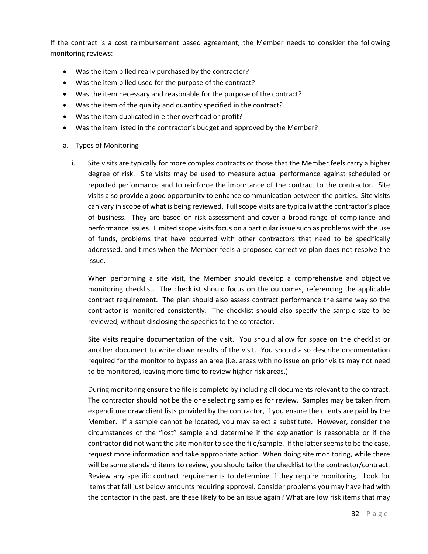If the contract is a cost reimbursement based agreement, the Member needs to consider the following monitoring reviews:

- Was the item billed really purchased by the contractor?
- Was the item billed used for the purpose of the contract?
- Was the item necessary and reasonable for the purpose of the contract?
- Was the item of the quality and quantity specified in the contract?
- Was the item duplicated in either overhead or profit?
- Was the item listed in the contractor's budget and approved by the Member?
- a. Types of Monitoring
	- i. Site visits are typically for more complex contracts or those that the Member feels carry a higher degree of risk. Site visits may be used to measure actual performance against scheduled or reported performance and to reinforce the importance of the contract to the contractor. Site visits also provide a good opportunity to enhance communication between the parties. Site visits can vary in scope of what is being reviewed. Full scope visits are typically at the contractor's place of business. They are based on risk assessment and cover a broad range of compliance and performance issues. Limited scope visits focus on a particular issue such as problems with the use of funds, problems that have occurred with other contractors that need to be specifically addressed, and times when the Member feels a proposed corrective plan does not resolve the issue.

When performing a site visit, the Member should develop a comprehensive and objective monitoring checklist. The checklist should focus on the outcomes, referencing the applicable contract requirement. The plan should also assess contract performance the same way so the contractor is monitored consistently. The checklist should also specify the sample size to be reviewed, without disclosing the specifics to the contractor.

Site visits require documentation of the visit. You should allow for space on the checklist or another document to write down results of the visit. You should also describe documentation required for the monitor to bypass an area (i.e. areas with no issue on prior visits may not need to be monitored, leaving more time to review higher risk areas.)

During monitoring ensure the file is complete by including all documents relevant to the contract. The contractor should not be the one selecting samples for review. Samples may be taken from expenditure draw client lists provided by the contractor, if you ensure the clients are paid by the Member. If a sample cannot be located, you may select a substitute. However, consider the circumstances of the "lost" sample and determine if the explanation is reasonable or if the contractor did not want the site monitor to see the file/sample. If the latter seems to be the case, request more information and take appropriate action. When doing site monitoring, while there will be some standard items to review, you should tailor the checklist to the contractor/contract. Review any specific contract requirements to determine if they require monitoring. Look for items that fall just below amounts requiring approval. Consider problems you may have had with the contactor in the past, are these likely to be an issue again? What are low risk items that may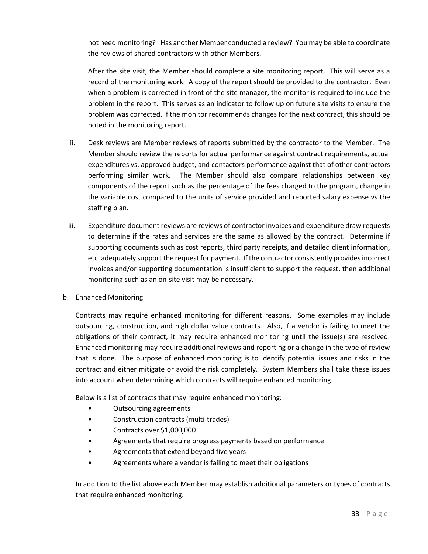not need monitoring? Has another Member conducted a review? You may be able to coordinate the reviews of shared contractors with other Members.

After the site visit, the Member should complete a site monitoring report. This will serve as a record of the monitoring work. A copy of the report should be provided to the contractor. Even when a problem is corrected in front of the site manager, the monitor is required to include the problem in the report. This serves as an indicator to follow up on future site visits to ensure the problem was corrected. If the monitor recommends changes for the next contract, this should be noted in the monitoring report.

- ii. Desk reviews are Member reviews of reports submitted by the contractor to the Member. The Member should review the reports for actual performance against contract requirements, actual expenditures vs. approved budget, and contactors performance against that of other contractors performing similar work. The Member should also compare relationships between key components of the report such as the percentage of the fees charged to the program, change in the variable cost compared to the units of service provided and reported salary expense vs the staffing plan.
- iii. Expenditure document reviews are reviews of contractor invoices and expenditure draw requests to determine if the rates and services are the same as allowed by the contract. Determine if supporting documents such as cost reports, third party receipts, and detailed client information, etc. adequately support the request for payment. If the contractor consistently provides incorrect invoices and/or supporting documentation is insufficient to support the request, then additional monitoring such as an on-site visit may be necessary.
- b. Enhanced Monitoring

Contracts may require enhanced monitoring for different reasons. Some examples may include outsourcing, construction, and high dollar value contracts. Also, if a vendor is failing to meet the obligations of their contract, it may require enhanced monitoring until the issue(s) are resolved. Enhanced monitoring may require additional reviews and reporting or a change in the type of review that is done. The purpose of enhanced monitoring is to identify potential issues and risks in the contract and either mitigate or avoid the risk completely. System Members shall take these issues into account when determining which contracts will require enhanced monitoring.

Below is a list of contracts that may require enhanced monitoring:

- Outsourcing agreements
- Construction contracts (multi-trades)
- Contracts over \$1,000,000
- Agreements that require progress payments based on performance
- Agreements that extend beyond five years
- Agreements where a vendor is failing to meet their obligations

In addition to the list above each Member may establish additional parameters or types of contracts that require enhanced monitoring.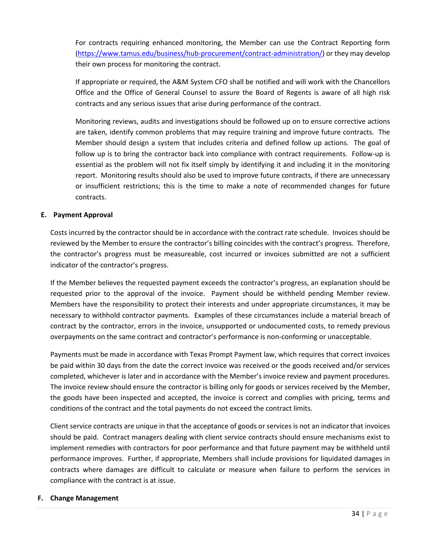For contracts requiring enhanced monitoring, the Member can use the Contract Reporting form [\(https://www.tamus.edu/business/hub-procurement/contract-administration/\)](https://www.tamus.edu/business/hub-procurement/contract-administration/) or they may develop their own process for monitoring the contract.

If appropriate or required, the A&M System CFO shall be notified and will work with the Chancellors Office and the Office of General Counsel to assure the Board of Regents is aware of all high risk contracts and any serious issues that arise during performance of the contract.

Monitoring reviews, audits and investigations should be followed up on to ensure corrective actions are taken, identify common problems that may require training and improve future contracts. The Member should design a system that includes criteria and defined follow up actions. The goal of follow up is to bring the contractor back into compliance with contract requirements. Follow-up is essential as the problem will not fix itself simply by identifying it and including it in the monitoring report. Monitoring results should also be used to improve future contracts, if there are unnecessary or insufficient restrictions; this is the time to make a note of recommended changes for future contracts.

# <span id="page-33-0"></span>**E. Payment Approval**

Costs incurred by the contractor should be in accordance with the contract rate schedule. Invoices should be reviewed by the Member to ensure the contractor's billing coincides with the contract's progress. Therefore, the contractor's progress must be measureable, cost incurred or invoices submitted are not a sufficient indicator of the contractor's progress.

If the Member believes the requested payment exceeds the contractor's progress, an explanation should be requested prior to the approval of the invoice. Payment should be withheld pending Member review. Members have the responsibility to protect their interests and under appropriate circumstances, it may be necessary to withhold contractor payments. Examples of these circumstances include a material breach of contract by the contractor, errors in the invoice, unsupported or undocumented costs, to remedy previous overpayments on the same contract and contractor's performance is non-conforming or unacceptable.

Payments must be made in accordance with Texas Prompt Payment law, which requires that correct invoices be paid within 30 days from the date the correct invoice was received or the goods received and/or services completed, whichever is later and in accordance with the Member's invoice review and payment procedures. The invoice review should ensure the contractor is billing only for goods or services received by the Member, the goods have been inspected and accepted, the invoice is correct and complies with pricing, terms and conditions of the contract and the total payments do not exceed the contract limits.

Client service contracts are unique in that the acceptance of goods or services is not an indicator that invoices should be paid. Contract managers dealing with client service contracts should ensure mechanisms exist to implement remedies with contractors for poor performance and that future payment may be withheld until performance improves. Further, if appropriate, Members shall include provisions for liquidated damages in contracts where damages are difficult to calculate or measure when failure to perform the services in compliance with the contract is at issue.

## <span id="page-33-1"></span>**F. Change Management**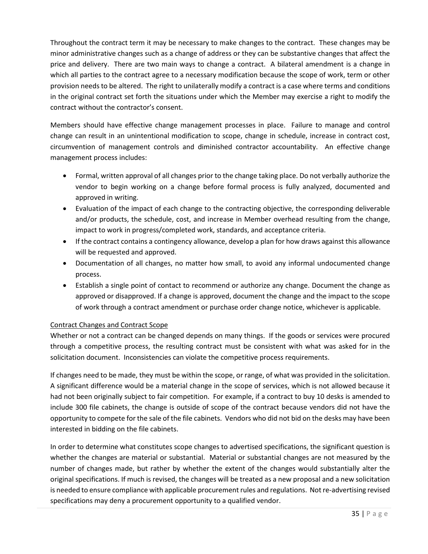Throughout the contract term it may be necessary to make changes to the contract. These changes may be minor administrative changes such as a change of address or they can be substantive changes that affect the price and delivery. There are two main ways to change a contract. A bilateral amendment is a change in which all parties to the contract agree to a necessary modification because the scope of work, term or other provision needs to be altered. The right to unilaterally modify a contract is a case where terms and conditions in the original contract set forth the situations under which the Member may exercise a right to modify the contract without the contractor's consent.

Members should have effective change management processes in place. Failure to manage and control change can result in an unintentional modification to scope, change in schedule, increase in contract cost, circumvention of management controls and diminished contractor accountability. An effective change management process includes:

- Formal, written approval of all changes prior to the change taking place. Do not verbally authorize the vendor to begin working on a change before formal process is fully analyzed, documented and approved in writing.
- Evaluation of the impact of each change to the contracting objective, the corresponding deliverable and/or products, the schedule, cost, and increase in Member overhead resulting from the change, impact to work in progress/completed work, standards, and acceptance criteria.
- If the contract contains a contingency allowance, develop a plan for how draws against this allowance will be requested and approved.
- Documentation of all changes, no matter how small, to avoid any informal undocumented change process.
- Establish a single point of contact to recommend or authorize any change. Document the change as approved or disapproved. If a change is approved, document the change and the impact to the scope of work through a contract amendment or purchase order change notice, whichever is applicable.

# Contract Changes and Contract Scope

Whether or not a contract can be changed depends on many things. If the goods or services were procured through a competitive process, the resulting contract must be consistent with what was asked for in the solicitation document. Inconsistencies can violate the competitive process requirements.

If changes need to be made, they must be within the scope, or range, of what was provided in the solicitation. A significant difference would be a material change in the scope of services, which is not allowed because it had not been originally subject to fair competition. For example, if a contract to buy 10 desks is amended to include 300 file cabinets, the change is outside of scope of the contract because vendors did not have the opportunity to compete for the sale of the file cabinets. Vendors who did not bid on the desks may have been interested in bidding on the file cabinets.

In order to determine what constitutes scope changes to advertised specifications, the significant question is whether the changes are material or substantial. Material or substantial changes are not measured by the number of changes made, but rather by whether the extent of the changes would substantially alter the original specifications. If much is revised, the changes will be treated as a new proposal and a new solicitation is needed to ensure compliance with applicable procurement rules and regulations. Not re-advertising revised specifications may deny a procurement opportunity to a qualified vendor.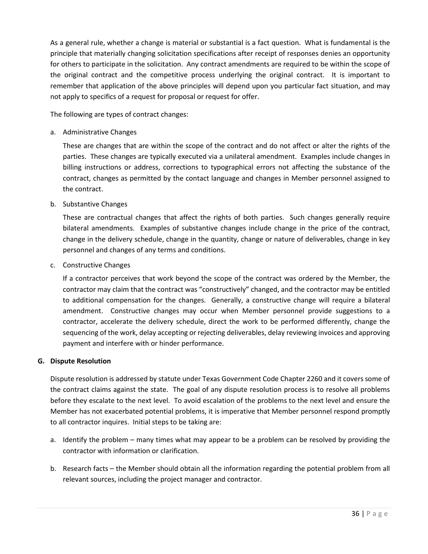As a general rule, whether a change is material or substantial is a fact question. What is fundamental is the principle that materially changing solicitation specifications after receipt of responses denies an opportunity for others to participate in the solicitation. Any contract amendments are required to be within the scope of the original contract and the competitive process underlying the original contract. It is important to remember that application of the above principles will depend upon you particular fact situation, and may not apply to specifics of a request for proposal or request for offer.

The following are types of contract changes:

a. Administrative Changes

These are changes that are within the scope of the contract and do not affect or alter the rights of the parties. These changes are typically executed via a unilateral amendment. Examples include changes in billing instructions or address, corrections to typographical errors not affecting the substance of the contract, changes as permitted by the contact language and changes in Member personnel assigned to the contract.

b. Substantive Changes

These are contractual changes that affect the rights of both parties. Such changes generally require bilateral amendments. Examples of substantive changes include change in the price of the contract, change in the delivery schedule, change in the quantity, change or nature of deliverables, change in key personnel and changes of any terms and conditions.

c. Constructive Changes

If a contractor perceives that work beyond the scope of the contract was ordered by the Member, the contractor may claim that the contract was "constructively" changed, and the contractor may be entitled to additional compensation for the changes. Generally, a constructive change will require a bilateral amendment. Constructive changes may occur when Member personnel provide suggestions to a contractor, accelerate the delivery schedule, direct the work to be performed differently, change the sequencing of the work, delay accepting or rejecting deliverables, delay reviewing invoices and approving payment and interfere with or hinder performance.

## <span id="page-35-0"></span>**G. Dispute Resolution**

Dispute resolution is addressed by statute under Texas Government Code Chapter 2260 and it covers some of the contract claims against the state. The goal of any dispute resolution process is to resolve all problems before they escalate to the next level. To avoid escalation of the problems to the next level and ensure the Member has not exacerbated potential problems, it is imperative that Member personnel respond promptly to all contractor inquires. Initial steps to be taking are:

- a. Identify the problem many times what may appear to be a problem can be resolved by providing the contractor with information or clarification.
- b. Research facts the Member should obtain all the information regarding the potential problem from all relevant sources, including the project manager and contractor.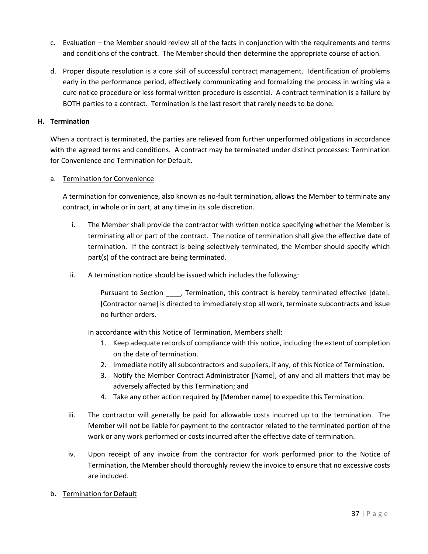- c. Evaluation the Member should review all of the facts in conjunction with the requirements and terms and conditions of the contract. The Member should then determine the appropriate course of action.
- d. Proper dispute resolution is a core skill of successful contract management. Identification of problems early in the performance period, effectively communicating and formalizing the process in writing via a cure notice procedure or less formal written procedure is essential. A contract termination is a failure by BOTH parties to a contract. Termination is the last resort that rarely needs to be done.

## <span id="page-36-0"></span>**H. Termination**

When a contract is terminated, the parties are relieved from further unperformed obligations in accordance with the agreed terms and conditions. A contract may be terminated under distinct processes: Termination for Convenience and Termination for Default.

## a. Termination for Convenience

A termination for convenience, also known as no-fault termination, allows the Member to terminate any contract, in whole or in part, at any time in its sole discretion.

- i. The Member shall provide the contractor with written notice specifying whether the Member is terminating all or part of the contract. The notice of termination shall give the effective date of termination. If the contract is being selectively terminated, the Member should specify which part(s) of the contract are being terminated.
- ii. A termination notice should be issued which includes the following:

Pursuant to Section \_\_\_\_, Termination, this contract is hereby terminated effective [date]. [Contractor name] is directed to immediately stop all work, terminate subcontracts and issue no further orders.

In accordance with this Notice of Termination, Members shall:

- 1. Keep adequate records of compliance with this notice, including the extent of completion on the date of termination.
- 2. Immediate notify all subcontractors and suppliers, if any, of this Notice of Termination.
- 3. Notify the Member Contract Administrator [Name], of any and all matters that may be adversely affected by this Termination; and
- 4. Take any other action required by [Member name] to expedite this Termination.
- iii. The contractor will generally be paid for allowable costs incurred up to the termination. The Member will not be liable for payment to the contractor related to the terminated portion of the work or any work performed or costs incurred after the effective date of termination.
- iv. Upon receipt of any invoice from the contractor for work performed prior to the Notice of Termination, the Member should thoroughly review the invoice to ensure that no excessive costs are included.
- b. Termination for Default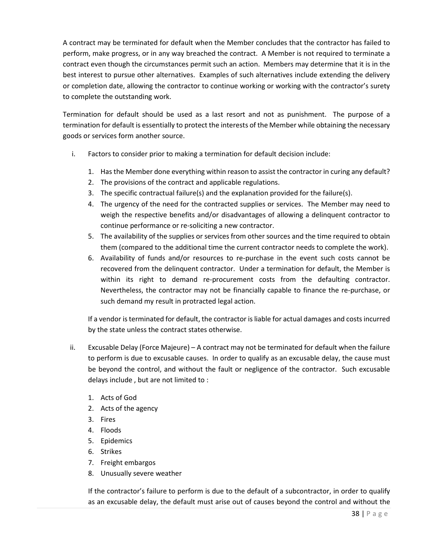A contract may be terminated for default when the Member concludes that the contractor has failed to perform, make progress, or in any way breached the contract. A Member is not required to terminate a contract even though the circumstances permit such an action. Members may determine that it is in the best interest to pursue other alternatives. Examples of such alternatives include extending the delivery or completion date, allowing the contractor to continue working or working with the contractor's surety to complete the outstanding work.

Termination for default should be used as a last resort and not as punishment. The purpose of a termination for default is essentially to protect the interests of the Member while obtaining the necessary goods or services form another source.

- i. Factors to consider prior to making a termination for default decision include:
	- 1. Has the Member done everything within reason to assist the contractor in curing any default?
	- 2. The provisions of the contract and applicable regulations.
	- 3. The specific contractual failure(s) and the explanation provided for the failure(s).
	- 4. The urgency of the need for the contracted supplies or services. The Member may need to weigh the respective benefits and/or disadvantages of allowing a delinquent contractor to continue performance or re-soliciting a new contractor.
	- 5. The availability of the supplies or services from other sources and the time required to obtain them (compared to the additional time the current contractor needs to complete the work).
	- 6. Availability of funds and/or resources to re-purchase in the event such costs cannot be recovered from the delinquent contractor. Under a termination for default, the Member is within its right to demand re-procurement costs from the defaulting contractor. Nevertheless, the contractor may not be financially capable to finance the re-purchase, or such demand my result in protracted legal action.

If a vendor is terminated for default, the contractor is liable for actual damages and costs incurred by the state unless the contract states otherwise.

- ii. Excusable Delay (Force Majeure) A contract may not be terminated for default when the failure to perform is due to excusable causes. In order to qualify as an excusable delay, the cause must be beyond the control, and without the fault or negligence of the contractor. Such excusable delays include , but are not limited to :
	- 1. Acts of God
	- 2. Acts of the agency
	- 3. Fires
	- 4. Floods
	- 5. Epidemics
	- 6. Strikes
	- 7. Freight embargos
	- 8. Unusually severe weather

If the contractor's failure to perform is due to the default of a subcontractor, in order to qualify as an excusable delay, the default must arise out of causes beyond the control and without the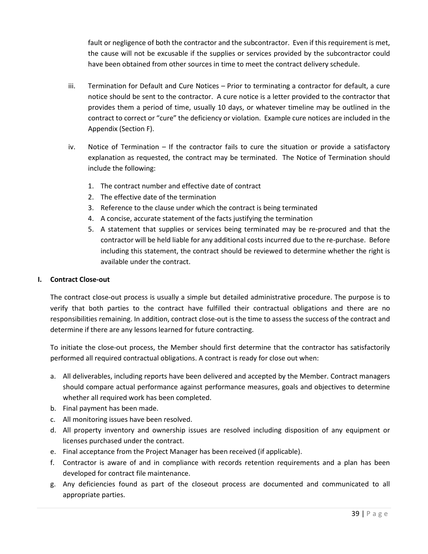fault or negligence of both the contractor and the subcontractor. Even if this requirement is met, the cause will not be excusable if the supplies or services provided by the subcontractor could have been obtained from other sources in time to meet the contract delivery schedule.

- iii. Termination for Default and Cure Notices Prior to terminating a contractor for default, a cure notice should be sent to the contractor. A cure notice is a letter provided to the contractor that provides them a period of time, usually 10 days, or whatever timeline may be outlined in the contract to correct or "cure" the deficiency or violation. Example cure notices are included in the Appendix (Section F).
- iv. Notice of Termination If the contractor fails to cure the situation or provide a satisfactory explanation as requested, the contract may be terminated. The Notice of Termination should include the following:
	- 1. The contract number and effective date of contract
	- 2. The effective date of the termination
	- 3. Reference to the clause under which the contract is being terminated
	- 4. A concise, accurate statement of the facts justifying the termination
	- 5. A statement that supplies or services being terminated may be re-procured and that the contractor will be held liable for any additional costs incurred due to the re-purchase. Before including this statement, the contract should be reviewed to determine whether the right is available under the contract.

#### <span id="page-38-0"></span>**I. Contract Close-out**

The contract close-out process is usually a simple but detailed administrative procedure. The purpose is to verify that both parties to the contract have fulfilled their contractual obligations and there are no responsibilities remaining. In addition, contract close-out is the time to assess the success of the contract and determine if there are any lessons learned for future contracting.

To initiate the close-out process, the Member should first determine that the contractor has satisfactorily performed all required contractual obligations. A contract is ready for close out when:

- a. All deliverables, including reports have been delivered and accepted by the Member. Contract managers should compare actual performance against performance measures, goals and objectives to determine whether all required work has been completed.
- b. Final payment has been made.
- c. All monitoring issues have been resolved.
- d. All property inventory and ownership issues are resolved including disposition of any equipment or licenses purchased under the contract.
- e. Final acceptance from the Project Manager has been received (if applicable).
- f. Contractor is aware of and in compliance with records retention requirements and a plan has been developed for contract file maintenance.
- g. Any deficiencies found as part of the closeout process are documented and communicated to all appropriate parties.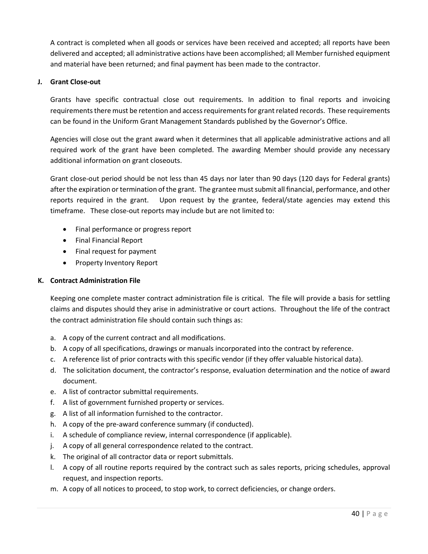A contract is completed when all goods or services have been received and accepted; all reports have been delivered and accepted; all administrative actions have been accomplished; all Member furnished equipment and material have been returned; and final payment has been made to the contractor.

# <span id="page-39-0"></span>**J. Grant Close-out**

Grants have specific contractual close out requirements. In addition to final reports and invoicing requirements there must be retention and access requirements for grant related records. These requirements can be found in the Uniform Grant Management Standards published by the Governor's Office.

Agencies will close out the grant award when it determines that all applicable administrative actions and all required work of the grant have been completed. The awarding Member should provide any necessary additional information on grant closeouts.

Grant close-out period should be not less than 45 days nor later than 90 days (120 days for Federal grants) after the expiration or termination of the grant. The grantee must submit all financial, performance, and other reports required in the grant. Upon request by the grantee, federal/state agencies may extend this timeframe. These close-out reports may include but are not limited to:

- Final performance or progress report
- Final Financial Report
- Final request for payment
- Property Inventory Report

# <span id="page-39-1"></span>**K. Contract Administration File**

Keeping one complete master contract administration file is critical. The file will provide a basis for settling claims and disputes should they arise in administrative or court actions. Throughout the life of the contract the contract administration file should contain such things as:

- a. A copy of the current contract and all modifications.
- b. A copy of all specifications, drawings or manuals incorporated into the contract by reference.
- c. A reference list of prior contracts with this specific vendor (if they offer valuable historical data).
- d. The solicitation document, the contractor's response, evaluation determination and the notice of award document.
- e. A list of contractor submittal requirements.
- f. A list of government furnished property or services.
- g. A list of all information furnished to the contractor.
- h. A copy of the pre-award conference summary (if conducted).
- i. A schedule of compliance review, internal correspondence (if applicable).
- j. A copy of all general correspondence related to the contract.
- k. The original of all contractor data or report submittals.
- l. A copy of all routine reports required by the contract such as sales reports, pricing schedules, approval request, and inspection reports.
- m. A copy of all notices to proceed, to stop work, to correct deficiencies, or change orders.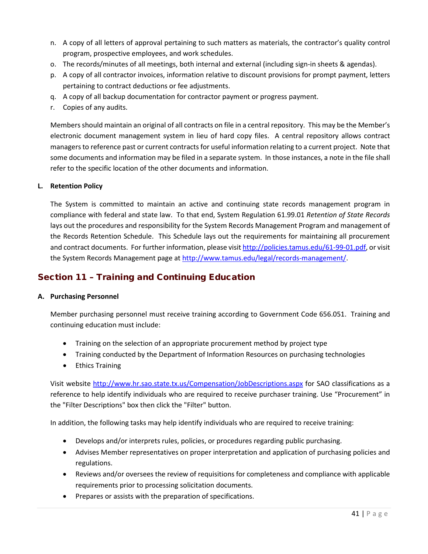- n. A copy of all letters of approval pertaining to such matters as materials, the contractor's quality control program, prospective employees, and work schedules.
- o. The records/minutes of all meetings, both internal and external (including sign-in sheets & agendas).
- p. A copy of all contractor invoices, information relative to discount provisions for prompt payment, letters pertaining to contract deductions or fee adjustments.
- q. A copy of all backup documentation for contractor payment or progress payment.
- r. Copies of any audits.

Members should maintain an original of all contracts on file in a central repository. This may be the Member's electronic document management system in lieu of hard copy files. A central repository allows contract managers to reference past or current contracts for useful information relating to a current project. Note that some documents and information may be filed in a separate system. In those instances, a note in the file shall refer to the specific location of the other documents and information.

#### <span id="page-40-0"></span>**L. Retention Policy**

The System is committed to maintain an active and continuing state records management program in compliance with federal and state law. To that end, System Regulation 61.99.01 *Retention of State Records*  lays out the procedures and responsibility for the System Records Management Program and management of the Records Retention Schedule. This Schedule lays out the requirements for maintaining all procurement and contract documents. For further information, please visi[t http://policies.tamus.edu/61-99-01.pdf,](http://policies.tamus.edu/61-99-01.pdf) or visit the System Records Management page a[t http://www.tamus.edu/legal/records-management/.](http://www.tamus.edu/legal/records-management/)

# <span id="page-40-1"></span>Section 11 – Training and Continuing Education

## <span id="page-40-2"></span>**A. Purchasing Personnel**

Member purchasing personnel must receive training according to Government Code 656.051. Training and continuing education must include:

- Training on the selection of an appropriate procurement method by project type
- Training conducted by the Department of Information Resources on purchasing technologies
- Ethics Training

Visit website<http://www.hr.sao.state.tx.us/Compensation/JobDescriptions.aspx> for SAO classifications as a reference to help identify individuals who are required to receive purchaser training. Use "Procurement" in the "Filter Descriptions" box then click the "Filter" button.

In addition, the following tasks may help identify individuals who are required to receive training:

- Develops and/or interprets rules, policies, or procedures regarding public purchasing.
- Advises Member representatives on proper interpretation and application of purchasing policies and regulations.
- Reviews and/or oversees the review of requisitions for completeness and compliance with applicable requirements prior to processing solicitation documents.
- Prepares or assists with the preparation of specifications.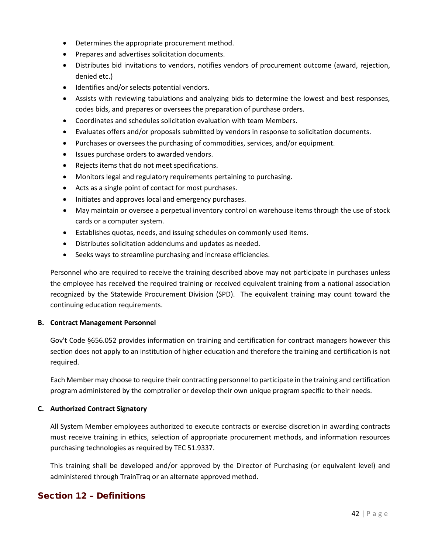- Determines the appropriate procurement method.
- Prepares and advertises solicitation documents.
- Distributes bid invitations to vendors, notifies vendors of procurement outcome (award, rejection, denied etc.)
- Identifies and/or selects potential vendors.
- Assists with reviewing tabulations and analyzing bids to determine the lowest and best responses, codes bids, and prepares or oversees the preparation of purchase orders.
- Coordinates and schedules solicitation evaluation with team Members.
- Evaluates offers and/or proposals submitted by vendors in response to solicitation documents.
- Purchases or oversees the purchasing of commodities, services, and/or equipment.
- Issues purchase orders to awarded vendors.
- Rejects items that do not meet specifications.
- Monitors legal and regulatory requirements pertaining to purchasing.
- Acts as a single point of contact for most purchases.
- Initiates and approves local and emergency purchases.
- May maintain or oversee a perpetual inventory control on warehouse items through the use of stock cards or a computer system.
- Establishes quotas, needs, and issuing schedules on commonly used items.
- Distributes solicitation addendums and updates as needed.
- Seeks ways to streamline purchasing and increase efficiencies.

Personnel who are required to receive the training described above may not participate in purchases unless the employee has received the required training or received equivalent training from a national association recognized by the Statewide Procurement Division (SPD). The equivalent training may count toward the continuing education requirements.

## <span id="page-41-0"></span>**B. Contract Management Personnel**

Gov't Code §656.052 provides information on training and certification for contract managers however this section does not apply to an institution of higher education and therefore the training and certification is not required.

Each Member may choose to require their contracting personnel to participate in the training and certification program administered by the comptroller or develop their own unique program specific to their needs.

## **C. Authorized Contract Signatory**

All System Member employees authorized to execute contracts or exercise discretion in awarding contracts must receive training in ethics, selection of appropriate procurement methods, and information resources purchasing technologies as required by TEC 51.9337.

This training shall be developed and/or approved by the Director of Purchasing (or equivalent level) and administered through TrainTraq or an alternate approved method.

# <span id="page-41-1"></span>Section 12 – Definitions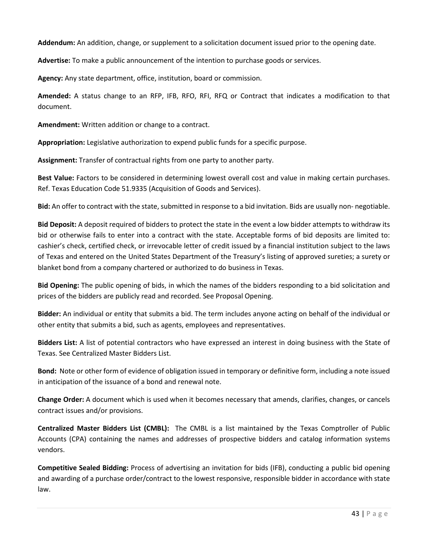**Addendum:** An addition, change, or supplement to a solicitation document issued prior to the opening date.

**Advertise:** To make a public announcement of the intention to purchase goods or services.

**Agency:** Any state department, office, institution, board or commission.

**Amended:** A status change to an RFP, IFB, RFO, RFI, RFQ or Contract that indicates a modification to that document.

**Amendment:** Written addition or change to a contract.

**Appropriation:** Legislative authorization to expend public funds for a specific purpose.

**Assignment:** Transfer of contractual rights from one party to another party.

**Best Value:** Factors to be considered in determining lowest overall cost and value in making certain purchases. Ref. Texas Education Code 51.9335 (Acquisition of Goods and Services).

**Bid:** An offer to contract with the state, submitted in response to a bid invitation. Bids are usually non- negotiable.

**Bid Deposit:** A deposit required of bidders to protect the state in the event a low bidder attempts to withdraw its bid or otherwise fails to enter into a contract with the state. Acceptable forms of bid deposits are limited to: cashier's check, certified check, or irrevocable letter of credit issued by a financial institution subject to the laws of Texas and entered on the United States Department of the Treasury's listing of approved sureties; a surety or blanket bond from a company chartered or authorized to do business in Texas.

**Bid Opening:** The public opening of bids, in which the names of the bidders responding to a bid solicitation and prices of the bidders are publicly read and recorded. See Proposal Opening.

**Bidder:** An individual or entity that submits a bid. The term includes anyone acting on behalf of the individual or other entity that submits a bid, such as agents, employees and representatives.

**Bidders List:** A list of potential contractors who have expressed an interest in doing business with the State of Texas. See Centralized Master Bidders List.

**Bond:** Note or other form of evidence of obligation issued in temporary or definitive form, including a note issued in anticipation of the issuance of a bond and renewal note.

**Change Order:** A document which is used when it becomes necessary that amends, clarifies, changes, or cancels contract issues and/or provisions.

**Centralized Master Bidders List (CMBL):** The CMBL is a list maintained by the Texas Comptroller of Public Accounts (CPA) containing the names and addresses of prospective bidders and catalog information systems vendors.

**Competitive Sealed Bidding:** Process of advertising an invitation for bids (IFB), conducting a public bid opening and awarding of a purchase order/contract to the lowest responsive, responsible bidder in accordance with state law.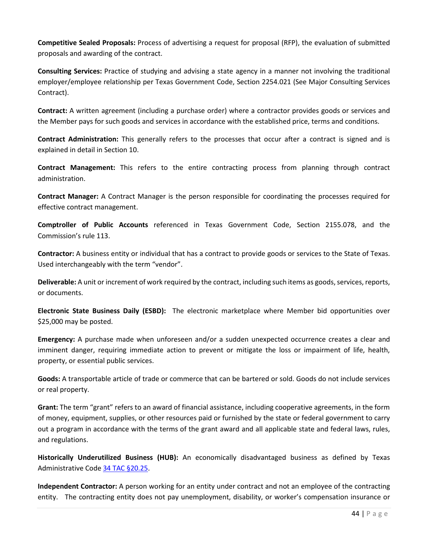**Competitive Sealed Proposals:** Process of advertising a request for proposal (RFP), the evaluation of submitted proposals and awarding of the contract.

**Consulting Services:** Practice of studying and advising a state agency in a manner not involving the traditional employer/employee relationship per Texas Government Code, Section 2254.021 (See Major Consulting Services Contract).

**Contract:** A written agreement (including a purchase order) where a contractor provides goods or services and the Member pays for such goods and services in accordance with the established price, terms and conditions.

**Contract Administration:** This generally refers to the processes that occur after a contract is signed and is explained in detail in Section 10.

**Contract Management:** This refers to the entire contracting process from planning through contract administration.

**Contract Manager:** A Contract Manager is the person responsible for coordinating the processes required for effective contract management.

**Comptroller of Public Accounts** referenced in Texas Government Code, Section 2155.078, and the Commission's rule 113.

**Contractor:** A business entity or individual that has a contract to provide goods or services to the State of Texas. Used interchangeably with the term "vendor".

**Deliverable:** A unit or increment of work required by the contract, including such items as goods, services, reports, or documents.

**Electronic State Business Daily (ESBD):** The electronic marketplace where Member bid opportunities over \$25,000 may be posted.

**Emergency:** A purchase made when unforeseen and/or a sudden unexpected occurrence creates a clear and imminent danger, requiring immediate action to prevent or mitigate the loss or impairment of life, health, property, or essential public services.

**Goods:** A transportable article of trade or commerce that can be bartered or sold. Goods do not include services or real property.

**Grant:** The term "grant" refers to an award of financial assistance, including cooperative agreements, in the form of money, equipment, supplies, or other resources paid or furnished by the state or federal government to carry out a program in accordance with the terms of the grant award and all applicable state and federal laws, rules, and regulations.

**Historically Underutilized Business (HUB):** An economically disadvantaged business as defined by Texas Administrative Cod[e 34 TAC](https://texreg.sos.state.tx.us/public/readtac$ext.TacPage?sl=R&app=9&p_dir=&p_rloc=&p_tloc=&p_ploc=&pg=1&p_tac=&ti=34&pt=1&ch=20&rl=25) §20.25.

**Independent Contractor:** A person working for an entity under contract and not an employee of the contracting entity. The contracting entity does not pay unemployment, disability, or worker's compensation insurance or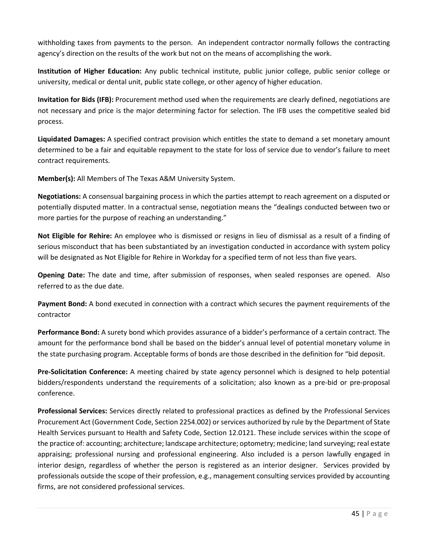withholding taxes from payments to the person. An independent contractor normally follows the contracting agency's direction on the results of the work but not on the means of accomplishing the work.

**Institution of Higher Education:** Any public technical institute, public junior college, public senior college or university, medical or dental unit, public state college, or other agency of higher education.

**Invitation for Bids (IFB):** Procurement method used when the requirements are clearly defined, negotiations are not necessary and price is the major determining factor for selection. The IFB uses the competitive sealed bid process.

**Liquidated Damages:** A specified contract provision which entitles the state to demand a set monetary amount determined to be a fair and equitable repayment to the state for loss of service due to vendor's failure to meet contract requirements.

**Member(s):** All Members of The Texas A&M University System.

**Negotiations:** A consensual bargaining process in which the parties attempt to reach agreement on a disputed or potentially disputed matter. In a contractual sense, negotiation means the "dealings conducted between two or more parties for the purpose of reaching an understanding."

**Not Eligible for Rehire:** An employee who is dismissed or resigns in lieu of dismissal as a result of a finding of serious misconduct that has been substantiated by an investigation conducted in accordance with system policy will be designated as Not Eligible for Rehire in Workday for a specified term of not less than five years.

**Opening Date:** The date and time, after submission of responses, when sealed responses are opened. Also referred to as the due date.

**Payment Bond:** A bond executed in connection with a contract which secures the payment requirements of the contractor

**Performance Bond:** A surety bond which provides assurance of a bidder's performance of a certain contract. The amount for the performance bond shall be based on the bidder's annual level of potential monetary volume in the state purchasing program. Acceptable forms of bonds are those described in the definition for "bid deposit.

**Pre-Solicitation Conference:** A meeting chaired by state agency personnel which is designed to help potential bidders/respondents understand the requirements of a solicitation; also known as a pre-bid or pre-proposal conference.

**Professional Services:** Services directly related to professional practices as defined by the Professional Services Procurement Act (Government Code, Section 2254.002) or services authorized by rule by the Department of State Health Services pursuant to Health and Safety Code, Section 12.0121. These include services within the scope of the practice of: accounting; architecture; landscape architecture; optometry; medicine; land surveying; real estate appraising; professional nursing and professional engineering. Also included is a person lawfully engaged in interior design, regardless of whether the person is registered as an interior designer. Services provided by professionals outside the scope of their profession, e.g., management consulting services provided by accounting firms, are not considered professional services.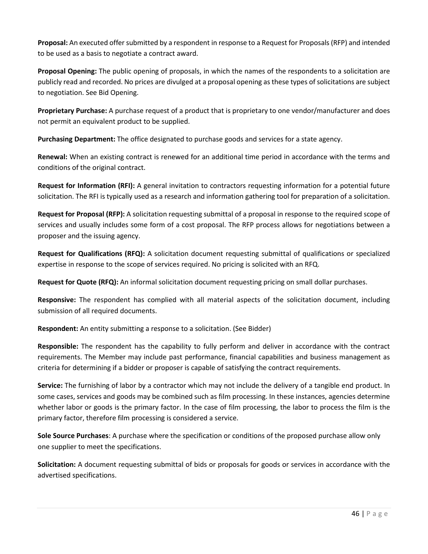**Proposal:** An executed offer submitted by a respondent in response to a Request for Proposals (RFP) and intended to be used as a basis to negotiate a contract award.

**Proposal Opening:** The public opening of proposals, in which the names of the respondents to a solicitation are publicly read and recorded. No prices are divulged at a proposal opening as these types of solicitations are subject to negotiation. See Bid Opening.

**Proprietary Purchase:** A purchase request of a product that is proprietary to one vendor/manufacturer and does not permit an equivalent product to be supplied.

**Purchasing Department:** The office designated to purchase goods and services for a state agency.

**Renewal:** When an existing contract is renewed for an additional time period in accordance with the terms and conditions of the original contract.

**Request for Information (RFI):** A general invitation to contractors requesting information for a potential future solicitation. The RFI is typically used as a research and information gathering tool for preparation of a solicitation.

**Request for Proposal (RFP):** A solicitation requesting submittal of a proposal in response to the required scope of services and usually includes some form of a cost proposal. The RFP process allows for negotiations between a proposer and the issuing agency.

**Request for Qualifications (RFQ):** A solicitation document requesting submittal of qualifications or specialized expertise in response to the scope of services required. No pricing is solicited with an RFQ.

**Request for Quote (RFQ):** An informal solicitation document requesting pricing on small dollar purchases.

**Responsive:** The respondent has complied with all material aspects of the solicitation document, including submission of all required documents.

**Respondent:** An entity submitting a response to a solicitation. (See Bidder)

**Responsible:** The respondent has the capability to fully perform and deliver in accordance with the contract requirements. The Member may include past performance, financial capabilities and business management as criteria for determining if a bidder or proposer is capable of satisfying the contract requirements.

**Service:** The furnishing of labor by a contractor which may not include the delivery of a tangible end product. In some cases, services and goods may be combined such as film processing. In these instances, agencies determine whether labor or goods is the primary factor. In the case of film processing, the labor to process the film is the primary factor, therefore film processing is considered a service.

**Sole Source Purchases**: A purchase where the specification or conditions of the proposed purchase allow only one supplier to meet the specifications.

**Solicitation:** A document requesting submittal of bids or proposals for goods or services in accordance with the advertised specifications.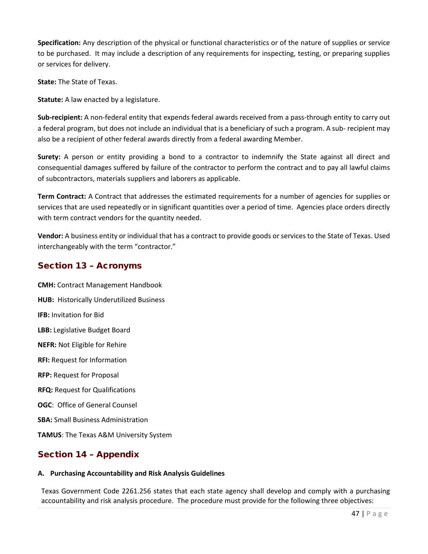**Specification:** Any description of the physical or functional characteristics or of the nature of supplies or service to be purchased. It may include a description of any requirements for inspecting, testing, or preparing supplies or services for delivery.

**State:** The State of Texas.

**Statute:** A law enacted by a legislature.

**Sub-recipient:** A non-federal entity that expends federal awards received from a pass-through entity to carry out a federal program, but does not include an individual that is a beneficiary of such a program. A sub- recipient may also be a recipient of other federal awards directly from a federal awarding Member.

**Surety:** A person or entity providing a bond to a contractor to indemnify the State against all direct and consequential damages suffered by failure of the contractor to perform the contract and to pay all lawful claims of subcontractors, materials suppliers and laborers as applicable.

**Term Contract:** A Contract that addresses the estimated requirements for a number of agencies for supplies or services that are used repeatedly or in significant quantities over a period of time. Agencies place orders directly with term contract vendors for the quantity needed.

**Vendor:** A business entity or individual that has a contract to provide goods or services to the State of Texas. Used interchangeably with the term "contractor."

# <span id="page-46-0"></span>Section 13 – Acronyms

**CMH:** Contract Management Handbook **HUB:** Historically Underutilized Business **IFB:** Invitation for Bid **LBB:** Legislative Budget Board **NEFR:** Not Eligible for Rehire **RFI:** Request for Information **RFP:** Request for Proposal **RFQ:** Request for Qualifications **OGC**: Office of General Counsel **SBA:** Small Business Administration **TAMUS**: The Texas A&M University System

# <span id="page-46-1"></span>Section 14 – Appendix

# **A. Purchasing Accountability and Risk Analysis Guidelines**

Texas Government Code 2261.256 states that each state agency shall develop and comply with a purchasing accountability and risk analysis procedure. The procedure must provide for the following three objectives: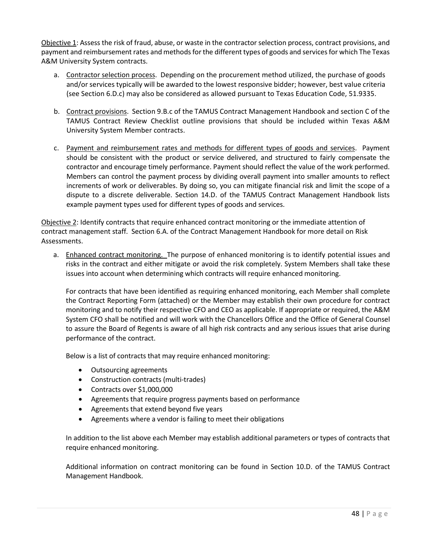Objective 1: Assess the risk of fraud, abuse, or waste in the contractor selection process, contract provisions, and payment and reimbursement rates and methods for the different types of goods and services for which The Texas A&M University System contracts.

- a. Contractor selection process. Depending on the procurement method utilized, the purchase of goods and/or services typically will be awarded to the lowest responsive bidder; however, best value criteria (see Section 6.D.c) may also be considered as allowed pursuant to Texas Education Code, 51.9335.
- b. Contract provisions. Section 9.B.c of the TAMUS Contract Management Handbook and section C of the TAMUS Contract Review Checklist outline provisions that should be included within Texas A&M University System Member contracts.
- c. Payment and reimbursement rates and methods for different types of goods and services. Payment should be consistent with the product or service delivered, and structured to fairly compensate the contractor and encourage timely performance. Payment should reflect the value of the work performed. Members can control the payment process by dividing overall payment into smaller amounts to reflect increments of work or deliverables. By doing so, you can mitigate financial risk and limit the scope of a dispute to a discrete deliverable. Section 14.D. of the TAMUS Contract Management Handbook lists example payment types used for different types of goods and services.

Objective 2: Identify contracts that require enhanced contract monitoring or the immediate attention of contract management staff. Section 6.A. of the Contract Management Handbook for more detail on Risk Assessments.

a. Enhanced contract monitoring. The purpose of enhanced monitoring is to identify potential issues and risks in the contract and either mitigate or avoid the risk completely. System Members shall take these issues into account when determining which contracts will require enhanced monitoring.

For contracts that have been identified as requiring enhanced monitoring, each Member shall complete the Contract Reporting Form (attached) or the Member may establish their own procedure for contract monitoring and to notify their respective CFO and CEO as applicable. If appropriate or required, the A&M System CFO shall be notified and will work with the Chancellors Office and the Office of General Counsel to assure the Board of Regents is aware of all high risk contracts and any serious issues that arise during performance of the contract.

Below is a list of contracts that may require enhanced monitoring:

- Outsourcing agreements
- Construction contracts (multi-trades)
- Contracts over \$1,000,000
- Agreements that require progress payments based on performance
- Agreements that extend beyond five years
- Agreements where a vendor is failing to meet their obligations

In addition to the list above each Member may establish additional parameters or types of contracts that require enhanced monitoring.

Additional information on contract monitoring can be found in Section 10.D. of the TAMUS Contract Management Handbook.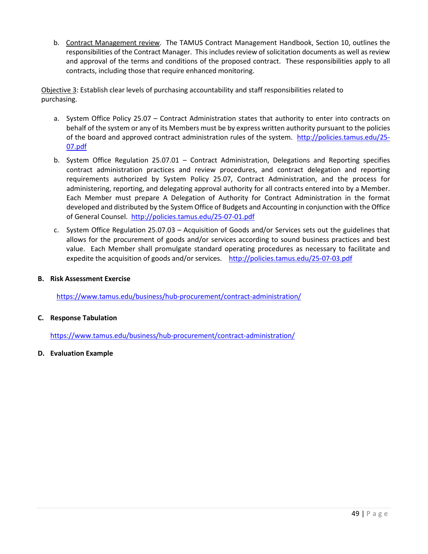b. Contract Management review. The TAMUS Contract Management Handbook, Section 10, outlines the responsibilities of the Contract Manager. This includes review of solicitation documents as well as review and approval of the terms and conditions of the proposed contract. These responsibilities apply to all contracts, including those that require enhanced monitoring.

Objective 3: Establish clear levels of purchasing accountability and staff responsibilities related to purchasing.

- a. System Office Policy 25.07 Contract Administration states that authority to enter into contracts on behalf of the system or any of its Members must be by express written authority pursuant to the policies of the board and approved contract administration rules of the system. [http://policies.tamus.edu/25-](http://policies.tamus.edu/25-07.pdf) [07.pdf](http://policies.tamus.edu/25-07.pdf)
- b. System Office Regulation 25.07.01 Contract Administration, Delegations and Reporting specifies contract administration practices and review procedures, and contract delegation and reporting requirements authorized by System Policy 25.07, Contract Administration, and the process for administering, reporting, and delegating approval authority for all contracts entered into by a Member. Each Member must prepare A Delegation of Authority for Contract Administration in the format developed and distributed by the System Office of Budgets and Accounting in conjunction with the Office of General Counsel. <http://policies.tamus.edu/25-07-01.pdf>
- c. System Office Regulation 25.07.03 Acquisition of Goods and/or Services sets out the guidelines that allows for the procurement of goods and/or services according to sound business practices and best value. Each Member shall promulgate standard operating procedures as necessary to facilitate and expedite the acquisition of goods and/or services. <http://policies.tamus.edu/25-07-03.pdf>

## **B. Risk Assessment Exercise**

<https://www.tamus.edu/business/hub-procurement/contract-administration/>

## **C. Response Tabulation**

<https://www.tamus.edu/business/hub-procurement/contract-administration/>

**D. Evaluation Example**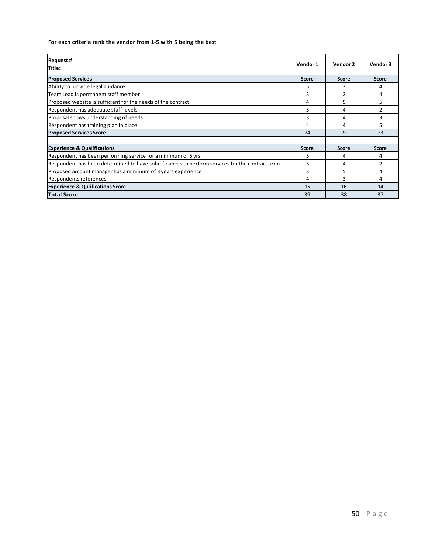#### **For each criteria rank the vendor from 1-5 with 5 being the best**

| <b>Request #</b><br>Title:                                                                      | Vendor 1     | Vendor 2     | Vendor 3 |
|-------------------------------------------------------------------------------------------------|--------------|--------------|----------|
| <b>Proposed Services</b>                                                                        | <b>Score</b> | <b>Score</b> | Score    |
| Ability to provide legal guidance                                                               | 5            |              | 4        |
| Team Lead is permanent staff member                                                             | 3            |              | 4        |
| Proposed website is sufficient for the needs of the contract                                    | 4            | 5            | 5.       |
| Respondent has adequate staff levels                                                            | 5            | 4            |          |
| Proposal shows understanding of needs                                                           | 3            | 4            | 3        |
| Respondent has training plan in place                                                           | 4            | 4            | 5        |
| <b>Proposed Services Score</b>                                                                  | 24           | 22           | 23       |
|                                                                                                 |              |              |          |
| <b>Experience &amp; Qualifications</b>                                                          | Score        | <b>Score</b> | Score    |
| Respondent has been performing service for a minimum of 5 yrs.                                  | 5            | 4            | 4        |
| Respondent has been determined to have solid finances to perform services for the contract term | 3            | 4            | 2        |
| Proposed account manager has a minimum of 3 years experience                                    | 3            | 5            | 4        |
| <b>Respondents references</b>                                                                   | 4            | 3            | 4        |
| <b>Experience &amp; Qulifications Score</b>                                                     | 15           | 16           | 14       |
| <b>Total Score</b>                                                                              | 39           | 38           | 37       |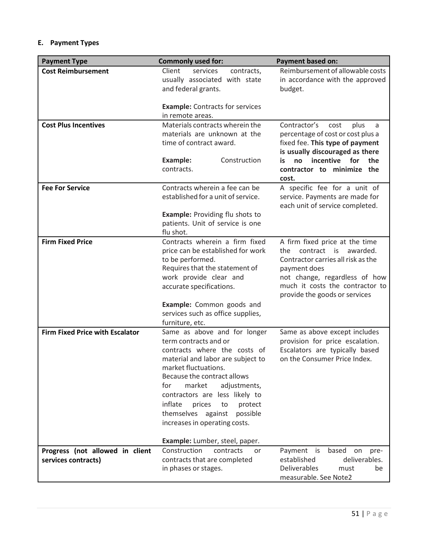# **E. Payment Types**

| <b>Payment Type</b>                                    | <b>Commonly used for:</b>                                                                                                                                                                                                                                                                                                                                     | <b>Payment based on:</b>                                                                                                                                                                                                       |
|--------------------------------------------------------|---------------------------------------------------------------------------------------------------------------------------------------------------------------------------------------------------------------------------------------------------------------------------------------------------------------------------------------------------------------|--------------------------------------------------------------------------------------------------------------------------------------------------------------------------------------------------------------------------------|
| <b>Cost Reimbursement</b>                              | Client<br>services<br>contracts,<br>usually associated with state<br>and federal grants.                                                                                                                                                                                                                                                                      | Reimbursement of allowable costs<br>in accordance with the approved<br>budget.                                                                                                                                                 |
|                                                        | <b>Example:</b> Contracts for services<br>in remote areas.                                                                                                                                                                                                                                                                                                    |                                                                                                                                                                                                                                |
| <b>Cost Plus Incentives</b>                            | Materials contracts wherein the<br>materials are unknown at the<br>time of contract award.<br>Construction<br>Example:                                                                                                                                                                                                                                        | Contractor's<br>cost<br>plus<br>a<br>percentage of cost or cost plus a<br>fixed fee. This type of payment<br>is usually discouraged as there<br>incentive<br>for<br>the<br>no<br>is                                            |
|                                                        | contracts.                                                                                                                                                                                                                                                                                                                                                    | contractor to minimize<br>the<br>cost.                                                                                                                                                                                         |
| <b>Fee For Service</b>                                 | Contracts wherein a fee can be<br>established for a unit of service.                                                                                                                                                                                                                                                                                          | A specific fee for a unit of<br>service. Payments are made for<br>each unit of service completed.                                                                                                                              |
|                                                        | <b>Example: Providing flu shots to</b><br>patients. Unit of service is one<br>flu shot.                                                                                                                                                                                                                                                                       |                                                                                                                                                                                                                                |
| <b>Firm Fixed Price</b>                                | Contracts wherein a firm fixed<br>price can be established for work<br>to be performed.<br>Requires that the statement of<br>work provide clear and<br>accurate specifications.                                                                                                                                                                               | A firm fixed price at the time<br>contract<br>awarded.<br>the<br>is<br>Contractor carries all risk as the<br>payment does<br>not change, regardless of how<br>much it costs the contractor to<br>provide the goods or services |
|                                                        | Example: Common goods and<br>services such as office supplies,<br>furniture, etc.                                                                                                                                                                                                                                                                             |                                                                                                                                                                                                                                |
| <b>Firm Fixed Price with Escalator</b>                 | Same as above and for longer<br>term contracts and or<br>contracts where the costs of<br>material and labor are subject to<br>market fluctuations.<br>Because the contract allows<br>for<br>market<br>adjustments,<br>contractors are less likely to<br>inflate<br>prices<br>to<br>protect<br>themselves against<br>possible<br>increases in operating costs. | Same as above except includes<br>provision for price escalation.<br>Escalators are typically based<br>on the Consumer Price Index.                                                                                             |
| Progress (not allowed in client<br>services contracts) | Example: Lumber, steel, paper.<br>Construction<br>contracts<br>or<br>contracts that are completed<br>in phases or stages.                                                                                                                                                                                                                                     | Payment is<br>based<br>on<br>pre-<br>deliverables.<br>established<br>Deliverables<br>must<br>be<br>measurable. See Note2                                                                                                       |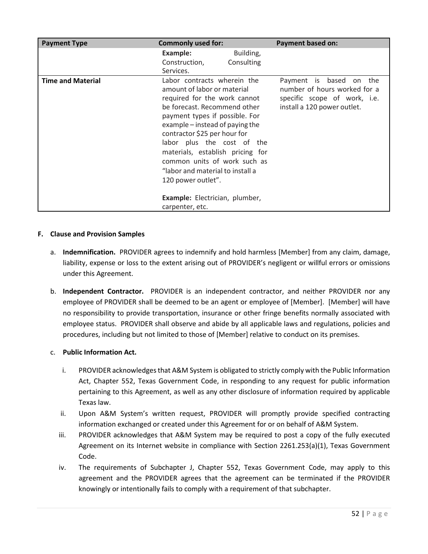| <b>Payment Type</b>      | <b>Commonly used for:</b>                                                                                                                                                                                                                                                                                                                                                                   | <b>Payment based on:</b>                                                                                                     |
|--------------------------|---------------------------------------------------------------------------------------------------------------------------------------------------------------------------------------------------------------------------------------------------------------------------------------------------------------------------------------------------------------------------------------------|------------------------------------------------------------------------------------------------------------------------------|
|                          | Example:<br>Construction,<br>Services.                                                                                                                                                                                                                                                                                                                                                      | Building,<br>Consulting                                                                                                      |
| <b>Time and Material</b> | Labor contracts wherein the<br>amount of labor or material<br>required for the work cannot<br>be forecast. Recommend other<br>payment types if possible. For<br>example – instead of paying the<br>contractor \$25 per hour for<br>labor plus the cost of the<br>materials, establish pricing for<br>common units of work such as<br>"labor and material to install a<br>120 power outlet". | Payment is based<br>the<br>on<br>number of hours worked for a<br>specific scope of work, i.e.<br>install a 120 power outlet. |
|                          | Example: Electrician, plumber,<br>carpenter, etc.                                                                                                                                                                                                                                                                                                                                           |                                                                                                                              |

## **F. Clause and Provision Samples**

- a. **Indemnification.** PROVIDER agrees to indemnify and hold harmless [Member] from any claim, damage, liability, expense or loss to the extent arising out of PROVIDER's negligent or willful errors or omissions under this Agreement.
- b. **Independent Contractor.** PROVIDER is an independent contractor, and neither PROVIDER nor any employee of PROVIDER shall be deemed to be an agent or employee of [Member]. [Member] will have no responsibility to provide transportation, insurance or other fringe benefits normally associated with employee status. PROVIDER shall observe and abide by all applicable laws and regulations, policies and procedures, including but not limited to those of [Member] relative to conduct on its premises.

## c. **Public Information Act.**

- i. PROVIDER acknowledges that A&M System is obligated to strictly comply with the Public Information Act, Chapter 552, Texas Government Code, in responding to any request for public information pertaining to this Agreement, as well as any other disclosure of information required by applicable Texas law.
- ii. Upon A&M System's written request, PROVIDER will promptly provide specified contracting information exchanged or created under this Agreement for or on behalf of A&M System.
- iii. PROVIDER acknowledges that A&M System may be required to post a copy of the fully executed Agreement on its Internet website in compliance with Section 2261.253(a)(1), Texas Government Code.
- iv. The requirements of Subchapter J, Chapter 552, Texas Government Code, may apply to this agreement and the PROVIDER agrees that the agreement can be terminated if the PROVIDER knowingly or intentionally fails to comply with a requirement of that subchapter.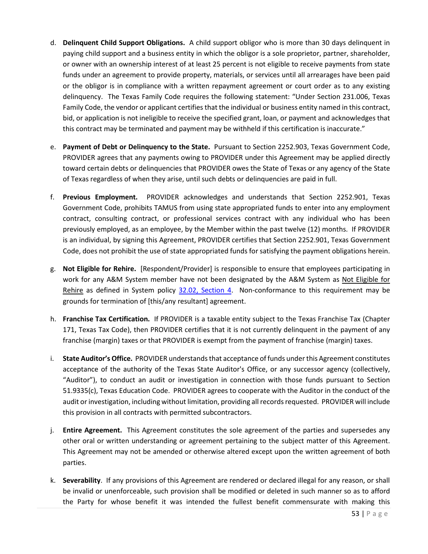- d. **Delinquent Child Support Obligations.** A child support obligor who is more than 30 days delinquent in paying child support and a business entity in which the obligor is a sole proprietor, partner, shareholder, or owner with an ownership interest of at least 25 percent is not eligible to receive payments from state funds under an agreement to provide property, materials, or services until all arrearages have been paid or the obligor is in compliance with a written repayment agreement or court order as to any existing delinquency. The Texas Family Code requires the following statement: "Under Section 231.006, Texas Family Code, the vendor or applicant certifies that the individual or business entity named in this contract, bid, or application is not ineligible to receive the specified grant, loan, or payment and acknowledges that this contract may be terminated and payment may be withheld if this certification is inaccurate."
- e. **Payment of Debt or Delinquency to the State.** Pursuant to Section 2252.903, Texas Government Code, PROVIDER agrees that any payments owing to PROVIDER under this Agreement may be applied directly toward certain debts or delinquencies that PROVIDER owes the State of Texas or any agency of the State of Texas regardless of when they arise, until such debts or delinquencies are paid in full.
- f. **Previous Employment.** PROVIDER acknowledges and understands that Section 2252.901, Texas Government Code, prohibits TAMUS from using state appropriated funds to enter into any employment contract, consulting contract, or professional services contract with any individual who has been previously employed, as an employee, by the Member within the past twelve (12) months. If PROVIDER is an individual, by signing this Agreement, PROVIDER certifies that Section 2252.901, Texas Government Code, does not prohibit the use of state appropriated funds for satisfying the payment obligations herein.
- g. **Not Eligible for Rehire.** [Respondent/Provider] is responsible to ensure that employees participating in work for any A&M System member have not been designated by the A&M System as Not Eligible for Rehire as defined in System policy [32.02, Section 4.](http://policies.tamus.edu/32-02.pdf) Non-conformance to this requirement may be grounds for termination of [this/any resultant] agreement.
- h. **Franchise Tax Certification.** If PROVIDER is a taxable entity subject to the Texas Franchise Tax (Chapter 171, Texas Tax Code), then PROVIDER certifies that it is not currently delinquent in the payment of any franchise (margin) taxes or that PROVIDER is exempt from the payment of franchise (margin) taxes.
- i. **State Auditor's Office.** PROVIDER understands that acceptance of funds under this Agreement constitutes acceptance of the authority of the Texas State Auditor's Office, or any successor agency (collectively, "Auditor"), to conduct an audit or investigation in connection with those funds pursuant to Section 51.9335(c), Texas Education Code. PROVIDER agrees to cooperate with the Auditor in the conduct of the audit or investigation, including without limitation, providing all records requested. PROVIDER will include this provision in all contracts with permitted subcontractors.
- j. **Entire Agreement.** This Agreement constitutes the sole agreement of the parties and supersedes any other oral or written understanding or agreement pertaining to the subject matter of this Agreement. This Agreement may not be amended or otherwise altered except upon the written agreement of both parties.
- k. **Severability**. If any provisions of this Agreement are rendered or declared illegal for any reason, or shall be invalid or unenforceable, such provision shall be modified or deleted in such manner so as to afford the Party for whose benefit it was intended the fullest benefit commensurate with making this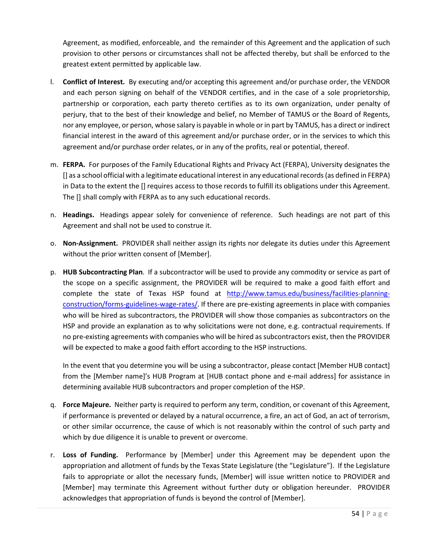Agreement, as modified, enforceable, and the remainder of this Agreement and the application of such provision to other persons or circumstances shall not be affected thereby, but shall be enforced to the greatest extent permitted by applicable law.

- l. **Conflict of Interest.** By executing and/or accepting this agreement and/or purchase order, the VENDOR and each person signing on behalf of the VENDOR certifies, and in the case of a sole proprietorship, partnership or corporation, each party thereto certifies as to its own organization, under penalty of perjury, that to the best of their knowledge and belief, no Member of TAMUS or the Board of Regents, nor any employee, or person, whose salary is payable in whole or in part by TAMUS, has a direct or indirect financial interest in the award of this agreement and/or purchase order, or in the services to which this agreement and/or purchase order relates, or in any of the profits, real or potential, thereof.
- m. **FERPA.** For purposes of the Family Educational Rights and Privacy Act (FERPA), University designates the [] as a school official with a legitimate educational interest in any educational records (as defined in FERPA) in Data to the extent the [] requires access to those records to fulfill its obligations under this Agreement. The [] shall comply with FERPA as to any such educational records.
- n. **Headings.** Headings appear solely for convenience of reference. Such headings are not part of this Agreement and shall not be used to construe it.
- o. **Non-Assignment.** PROVIDER shall neither assign its rights nor delegate its duties under this Agreement without the prior written consent of [Member].
- p. **HUB Subcontracting Plan**. If a subcontractor will be used to provide any commodity or service as part of the scope on a specific assignment, the PROVIDER will be required to make a good faith effort and complete the state of Texas HSP found at [http://www.tamus.edu/business/facilities-planning](http://www.tamus.edu/business/facilities-planning-construction/forms-guidelines-wage-rates/)[construction/forms-guidelines-wage-rates/.](http://www.tamus.edu/business/facilities-planning-construction/forms-guidelines-wage-rates/) If there are pre-existing agreements in place with companies who will be hired as subcontractors, the PROVIDER will show those companies as subcontractors on the HSP and provide an explanation as to why solicitations were not done, e.g. contractual requirements. If no pre-existing agreements with companies who will be hired as subcontractors exist, then the PROVIDER will be expected to make a good faith effort according to the HSP instructions.

In the event that you determine you will be using a subcontractor, please contact [Member HUB contact] from the [Member name]'s HUB Program at [HUB contact phone and e-mail address] for assistance in determining available HUB subcontractors and proper completion of the HSP.

- q. **Force Majeure.** Neither party is required to perform any term, condition, or covenant of this Agreement, if performance is prevented or delayed by a natural occurrence, a fire, an act of God, an act of terrorism, or other similar occurrence, the cause of which is not reasonably within the control of such party and which by due diligence it is unable to prevent or overcome.
- r. **Loss of Funding.** Performance by [Member] under this Agreement may be dependent upon the appropriation and allotment of funds by the Texas State Legislature (the "Legislature"). If the Legislature fails to appropriate or allot the necessary funds, [Member] will issue written notice to PROVIDER and [Member] may terminate this Agreement without further duty or obligation hereunder. PROVIDER acknowledges that appropriation of funds is beyond the control of [Member].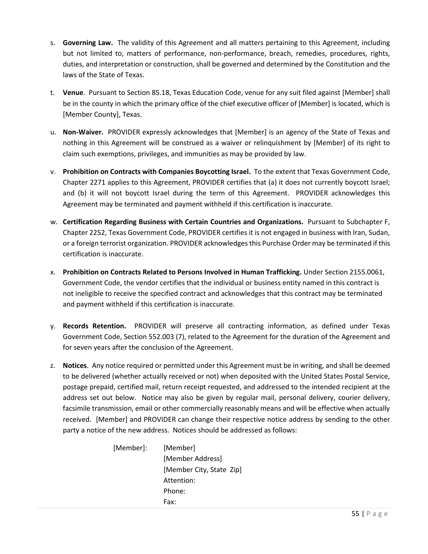- s. **Governing Law.** The validity of this Agreement and all matters pertaining to this Agreement, including but not limited to, matters of performance, non-performance, breach, remedies, procedures, rights, duties, and interpretation or construction, shall be governed and determined by the Constitution and the laws of the State of Texas.
- t. **Venue**. Pursuant to Section 85.18, Texas Education Code, venue for any suit filed against [Member] shall be in the county in which the primary office of the chief executive officer of [Member] is located, which is [Member County], Texas.
- u. **Non-Waiver.** PROVIDER expressly acknowledges that [Member] is an agency of the State of Texas and nothing in this Agreement will be construed as a waiver or relinquishment by [Member] of its right to claim such exemptions, privileges, and immunities as may be provided by law.
- v. **Prohibition on Contracts with Companies Boycotting Israel.** To the extent that Texas Government Code, Chapter 2271 applies to this Agreement, PROVIDER certifies that (a) it does not currently boycott Israel; and (b) it will not boycott Israel during the term of this Agreement. PROVIDER acknowledges this Agreement may be terminated and payment withheld if this certification is inaccurate.
- w. **Certification Regarding Business with Certain Countries and Organizations.** Pursuant to Subchapter F, Chapter 2252, Texas Government Code, PROVIDER certifies it is not engaged in business with Iran, Sudan, or a foreign terrorist organization. PROVIDER acknowledges this Purchase Order may be terminated if this certification is inaccurate.
- x. **Prohibition on Contracts Related to Persons Involved in Human Trafficking.** Under Section 2155.0061, Government Code, the vendor certifies that the individual or business entity named in this contract is not ineligible to receive the specified contract and acknowledges that this contract may be terminated and payment withheld if this certification is inaccurate.
- y. **Records Retention.** PROVIDER will preserve all contracting information, as defined under Texas Government Code, Section 552.003 (7), related to the Agreement for the duration of the Agreement and for seven years after the conclusion of the Agreement.
- z. **Notices**. Any notice required or permitted under this Agreement must be in writing, and shall be deemed to be delivered (whether actually received or not) when deposited with the United States Postal Service, postage prepaid, certified mail, return receipt requested, and addressed to the intended recipient at the address set out below. Notice may also be given by regular mail, personal delivery, courier delivery, facsimile transmission, email or other commercially reasonably means and will be effective when actually received. [Member] and PROVIDER can change their respective notice address by sending to the other party a notice of the new address. Notices should be addressed as follows:

[Member]: [Member] [Member Address] [Member City, State Zip] Attention: Phone: Fax: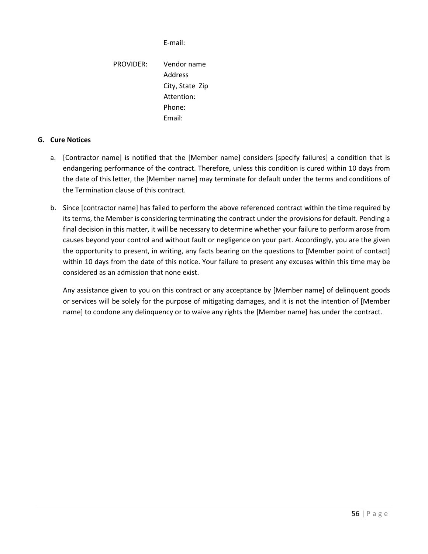E-mail:

PROVIDER: Vendor name Address City, State Zip Attention: Phone: Email:

# **G. Cure Notices**

- a. [Contractor name] is notified that the [Member name] considers [specify failures] a condition that is endangering performance of the contract. Therefore, unless this condition is cured within 10 days from the date of this letter, the [Member name] may terminate for default under the terms and conditions of the Termination clause of this contract.
- b. Since [contractor name] has failed to perform the above referenced contract within the time required by its terms, the Member is considering terminating the contract under the provisions for default. Pending a final decision in this matter, it will be necessary to determine whether your failure to perform arose from causes beyond your control and without fault or negligence on your part. Accordingly, you are the given the opportunity to present, in writing, any facts bearing on the questions to [Member point of contact] within 10 days from the date of this notice. Your failure to present any excuses within this time may be considered as an admission that none exist.

Any assistance given to you on this contract or any acceptance by [Member name] of delinquent goods or services will be solely for the purpose of mitigating damages, and it is not the intention of [Member name] to condone any delinquency or to waive any rights the [Member name] has under the contract.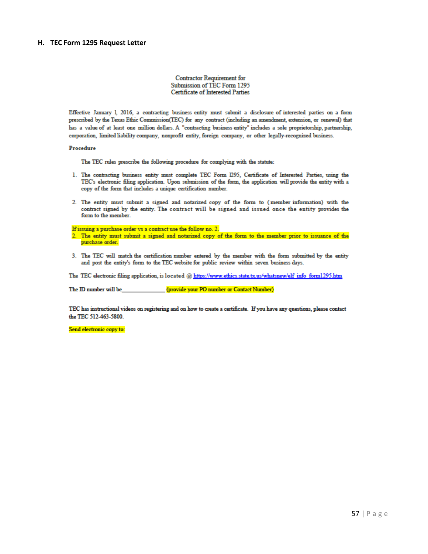#### **H. TEC Form 1295 Request Letter**

#### **Contractor Requirement for** Submission of TEC Form 1295 **Certificate of Interested Parties**

Effective January 1, 2016, a contracting business entity must submit a disclosure of interested parties on a form prescribed by the Texas Ethic Commission(TEC) for any contract (including an amendment, extension, or renewal) that has a value of at least one million dollars. A "contracting business entity" includes a sole proprietorship, partnership, corporation, limited liability company, nonprofit entity, foreign company, or other legally-recognized business.

#### Procedure

The TEC rules prescribe the following procedure for complying with the statute:

- 1. The contracting business entity must complete TEC Form 1295, Certificate of Interested Parties, using the TEC's electronic filing application. Upon submission of the form, the application will provide the entity with a copy of the form that includes a unique certification number.
- 2. The entity must submit a signed and notarized copy of the form to (member information) with the contract signed by the entity. The contract will be signed and issued once the entity provides the form to the member.

If issuing a purchase order vs a contract use the follow no. 2.

- 2. The entity must submit a signed and notarized copy of the form to the member prior to issuance of the purchase order.
- 3. The TEC will match the certification number entered by the member with the form submitted by the entity and post the entity's form to the TEC website for public review within seven business days.

The TEC electronic filing application, is located @ https://www.ethics.state.tx.us/whatsnew/elf info form1295.htm

The ID number will be (provide your PO number or Contact Number)

TEC has instructional videos on registering and on how to create a certificate. If you have any questions, please contact the TEC 512-463-5800.

Send electronic copy to: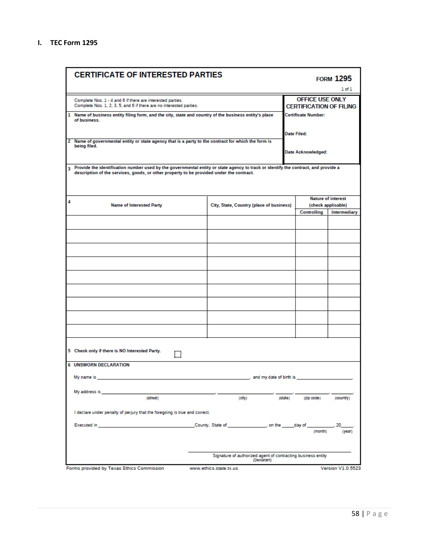|   | <b>CERTIFICATE OF INTERESTED PARTIES</b>                                                                                                                                                                                       |                                                              |                         |                                                          | <b>FORM 1295</b>          |
|---|--------------------------------------------------------------------------------------------------------------------------------------------------------------------------------------------------------------------------------|--------------------------------------------------------------|-------------------------|----------------------------------------------------------|---------------------------|
|   |                                                                                                                                                                                                                                |                                                              |                         |                                                          | $1$ of $1$                |
|   | Complete Nos. 1 - 4 and 6 if there are interested parties.<br>Complete Nos. 1, 2, 3, 5, and 6 if there are no interested parties.                                                                                              |                                                              |                         | <b>OFFICE USE ONLY</b><br><b>CERTIFICATION OF FILING</b> |                           |
| 1 | Name of business entity filing form, and the city, state and country of the business entity's place<br>of business.                                                                                                            |                                                              |                         | <b>Certificate Number:</b>                               |                           |
|   | 2 Name of governmental entity or state agency that is a party to the contract for which the form is                                                                                                                            |                                                              |                         | <b>Date Filed:</b>                                       |                           |
|   | being filed.                                                                                                                                                                                                                   |                                                              |                         | Date Acknowledged:                                       |                           |
| 3 | Provide the identification number used by the governmental entity or state agency to track or identify the contract, and provide a<br>description of the services, goods, or other property to be provided under the contract. |                                                              |                         |                                                          |                           |
| 4 |                                                                                                                                                                                                                                |                                                              |                         |                                                          | <b>Nature of interest</b> |
|   | <b>Name of Interested Party</b>                                                                                                                                                                                                | City, State, Country (place of business)                     |                         |                                                          | (check applicable)        |
|   |                                                                                                                                                                                                                                |                                                              |                         | Controlling                                              | <b>Intermediary</b>       |
|   |                                                                                                                                                                                                                                |                                                              |                         |                                                          |                           |
|   |                                                                                                                                                                                                                                |                                                              |                         |                                                          |                           |
|   |                                                                                                                                                                                                                                |                                                              |                         |                                                          |                           |
|   |                                                                                                                                                                                                                                |                                                              |                         |                                                          |                           |
|   |                                                                                                                                                                                                                                |                                                              |                         |                                                          |                           |
|   |                                                                                                                                                                                                                                |                                                              |                         |                                                          |                           |
|   |                                                                                                                                                                                                                                |                                                              |                         |                                                          |                           |
|   |                                                                                                                                                                                                                                |                                                              |                         |                                                          |                           |
|   | 5 Check only if there is NO Interested Party.                                                                                                                                                                                  |                                                              |                         |                                                          |                           |
|   | <b>6 UNSWORN DECLARATION</b>                                                                                                                                                                                                   |                                                              |                         |                                                          |                           |
|   | My name is                                                                                                                                                                                                                     |                                                              | and my date of birth is |                                                          |                           |
|   | My address is<br>(street)                                                                                                                                                                                                      | (city)                                                       | (state)                 | (zip code)                                               | (country)                 |
|   | I declare under penalty of perjury that the foregoing is true and correct.                                                                                                                                                     |                                                              |                         |                                                          |                           |
|   | Executed in                                                                                                                                                                                                                    | County, State of _________________, on the ______ day of     |                         | (month)                                                  | (year)                    |
|   |                                                                                                                                                                                                                                | Signature of authorized agent of contracting business entity | (Declarant)             |                                                          |                           |
|   | Forms provided by Texas Ethics Commission                                                                                                                                                                                      | www.ethics.state.tx.us                                       |                         |                                                          | <b>Version V1.0.5523</b>  |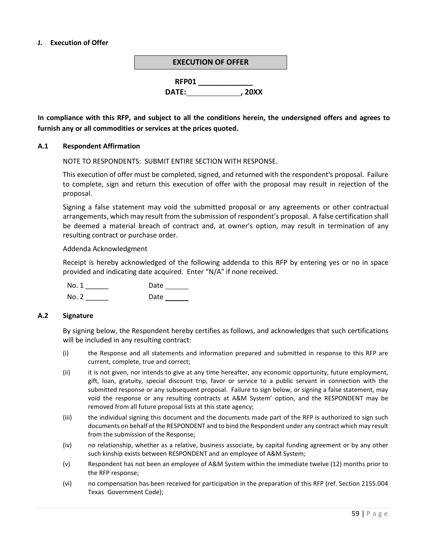## **J. Execution of Offer**



**In compliance with this RFP, and subject to all the conditions herein, the undersigned offers and agrees to furnish any or all commodities or services at the prices quoted.**

#### **A.1 Respondent Affirmation**

NOTE TO RESPONDENTS: SUBMIT ENTIRE SECTION WITH RESPONSE.

This execution of offer must be completed, signed, and returned with the respondent's proposal. Failure to complete, sign and return this execution of offer with the proposal may result in rejection of the proposal.

Signing a false statement may void the submitted proposal or any agreements or other contractual arrangements, which may result from the submission of respondent's proposal. A false certification shall be deemed a material breach of contract and, at owner's option, may result in termination of any resulting contract or purchase order.

#### Addenda Acknowledgment

Receipt is hereby acknowledged of the following addenda to this RFP by entering yes or no in space provided and indicating date acquired. Enter "N/A" if none received.

| No. 1 | Date |
|-------|------|
| No. 2 | Date |

#### **A.2 Signature**

By signing below, the Respondent hereby certifies as follows, and acknowledges that such certifications will be included in any resulting contract:

- (i) the Response and all statements and information prepared and submitted in response to this RFP are current, complete, true and correct;
- (ii) it is not given, nor intends to give at any time hereafter, any economic opportunity, future employment, gift, loan, gratuity, special discount trip, favor or service to a public servant in connection with the submitted response or any subsequent proposal. Failure to sign below, or signing a false statement, may void the response or any resulting contracts at A&M System' option, and the RESPONDENT may be removed from all future proposal lists at this state agency;
- (iii) the individual signing this document and the documents made part of the RFP is authorized to sign such documents on behalf of the RESPONDENT and to bind the Respondent under any contract which may result from the submission of the Response;
- (iv) no relationship, whether as a relative, business associate, by capital funding agreement or by any other such kinship exists between RESPONDENT and an employee of A&M System;
- (v) Respondent has not been an employee of A&M System within the immediate twelve (12) months prior to the RFP response;
- (vi) no compensation has been received for participation in the preparation of this RFP (ref. Section 2155.004 Texas Government Code);